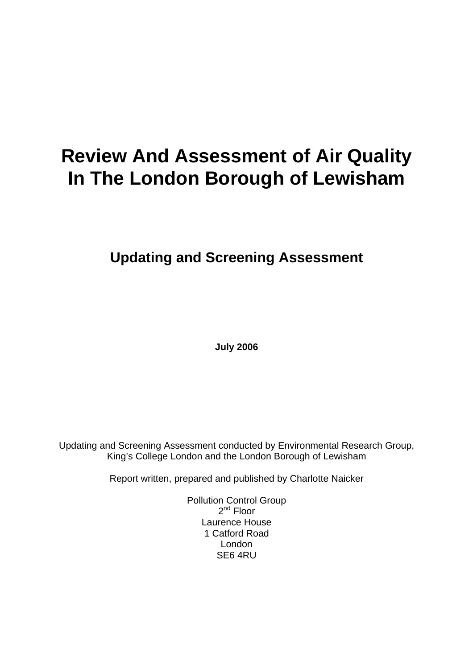# **Review And Assessment of Air Quality In The London Borough of Lewisham**

**Updating and Screening Assessment** 

**July 2006** 

Updating and Screening Assessment conducted by Environmental Research Group, King's College London and the London Borough of Lewisham

Report written, prepared and published by Charlotte Naicker

Pollution Control Group  $2<sup>nd</sup>$  Floor Laurence House 1 Catford Road London SE6 4RU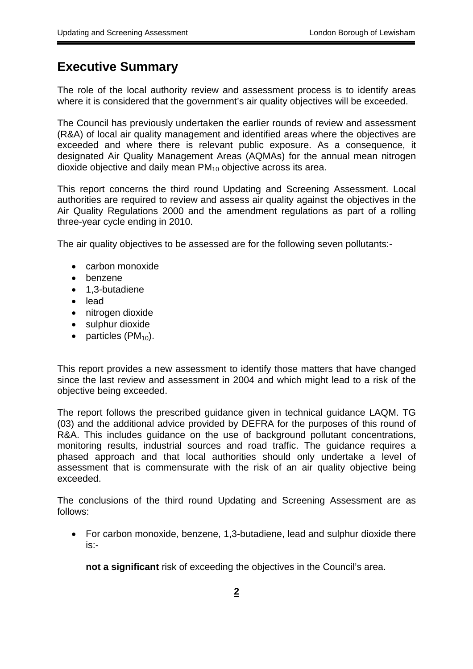## <span id="page-1-0"></span>**Executive Summary**

The role of the local authority review and assessment process is to identify areas where it is considered that the government's air quality objectives will be exceeded.

The Council has previously undertaken the earlier rounds of review and assessment (R&A) of local air quality management and identified areas where the objectives are exceeded and where there is relevant public exposure. As a consequence, it designated Air Quality Management Areas (AQMAs) for the annual mean nitrogen dioxide objective and daily mean  $PM_{10}$  objective across its area.

This report concerns the third round Updating and Screening Assessment. Local authorities are required to review and assess air quality against the objectives in the Air Quality Regulations 2000 and the amendment regulations as part of a rolling three-year cycle ending in 2010.

The air quality objectives to be assessed are for the following seven pollutants:-

- carbon monoxide
- benzene
- 1,3-butadiene
- lead
- nitrogen dioxide
- sulphur dioxide
- particles  $(PM_{10})$ .

This report provides a new assessment to identify those matters that have changed since the last review and assessment in 2004 and which might lead to a risk of the objective being exceeded.

The report follows the prescribed guidance given in technical guidance LAQM. TG (03) and the additional advice provided by DEFRA for the purposes of this round of R&A. This includes guidance on the use of background pollutant concentrations, monitoring results, industrial sources and road traffic. The guidance requires a phased approach and that local authorities should only undertake a level of assessment that is commensurate with the risk of an air quality objective being exceeded.

The conclusions of the third round Updating and Screening Assessment are as follows:

• For carbon monoxide, benzene, 1,3-butadiene, lead and sulphur dioxide there is:-

**not a significant** risk of exceeding the objectives in the Council's area.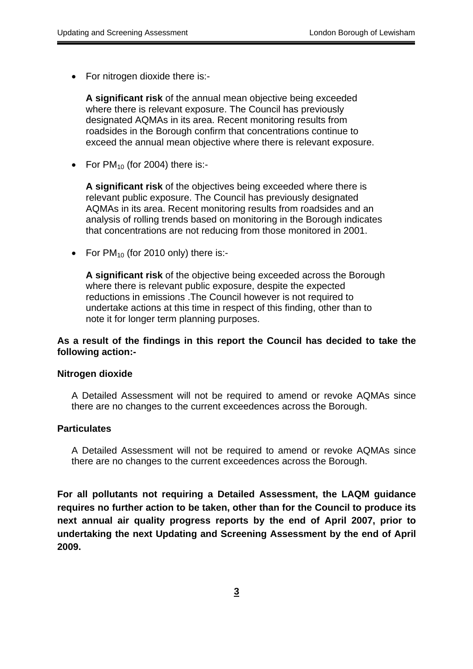• For nitrogen dioxide there is:-

**A significant risk** of the annual mean objective being exceeded where there is relevant exposure. The Council has previously designated AQMAs in its area. Recent monitoring results from roadsides in the Borough confirm that concentrations continue to exceed the annual mean objective where there is relevant exposure.

• For  $PM_{10}$  (for 2004) there is:-

**A significant risk** of the objectives being exceeded where there is relevant public exposure. The Council has previously designated AQMAs in its area. Recent monitoring results from roadsides and an analysis of rolling trends based on monitoring in the Borough indicates that concentrations are not reducing from those monitored in 2001.

• For  $PM_{10}$  (for 2010 only) there is:-

**A significant risk** of the objective being exceeded across the Borough where there is relevant public exposure, despite the expected reductions in emissions .The Council however is not required to undertake actions at this time in respect of this finding, other than to note it for longer term planning purposes.

#### **As a result of the findings in this report the Council has decided to take the following action:**

#### **Nitrogen dioxide**

A Detailed Assessment will not be required to amend or revoke AQMAs since there are no changes to the current exceedences across the Borough.

#### **Particulates**

A Detailed Assessment will not be required to amend or revoke AQMAs since there are no changes to the current exceedences across the Borough.

**For all pollutants not requiring a Detailed Assessment, the LAQM guidance requires no further action to be taken, other than for the Council to produce its next annual air quality progress reports by the end of April 2007, prior to undertaking the next Updating and Screening Assessment by the end of April 2009.**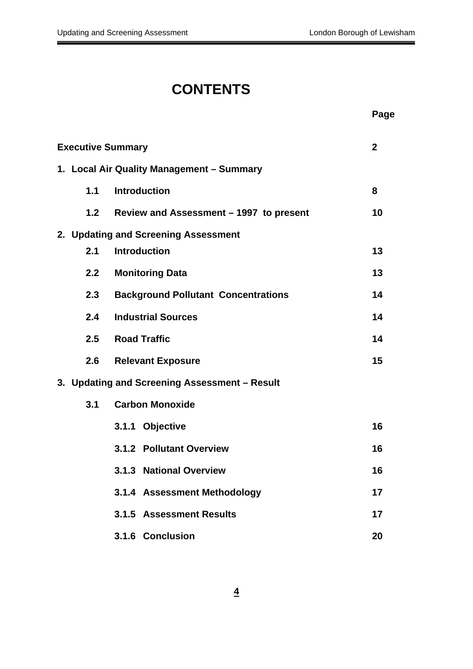# **CONTENTS**

|                          |                                               | Page         |
|--------------------------|-----------------------------------------------|--------------|
| <b>Executive Summary</b> |                                               | $\mathbf{2}$ |
|                          | 1. Local Air Quality Management - Summary     |              |
| 1.1                      | <b>Introduction</b>                           | 8            |
| 1.2                      | Review and Assessment – 1997 to present       | 10           |
|                          | 2. Updating and Screening Assessment          |              |
| 2.1                      | <b>Introduction</b>                           | 13           |
| 2.2 <sub>2</sub>         | <b>Monitoring Data</b>                        | 13           |
| 2.3                      | <b>Background Pollutant Concentrations</b>    | 14           |
| 2.4                      | <b>Industrial Sources</b>                     | 14           |
|                          | 2.5 Road Traffic                              | 14           |
| 2.6                      | <b>Relevant Exposure</b>                      | 15           |
|                          | 3. Updating and Screening Assessment - Result |              |
| 3.1                      | <b>Carbon Monoxide</b>                        |              |
|                          | 3.1.1 Objective                               | 16           |
|                          | 3.1.2 Pollutant Overview                      | 16           |
|                          | 3.1.3 National Overview                       | 16           |
|                          | 3.1.4 Assessment Methodology                  | 17           |
|                          | 3.1.5 Assessment Results                      | 17           |
|                          | 3.1.6 Conclusion                              | 20           |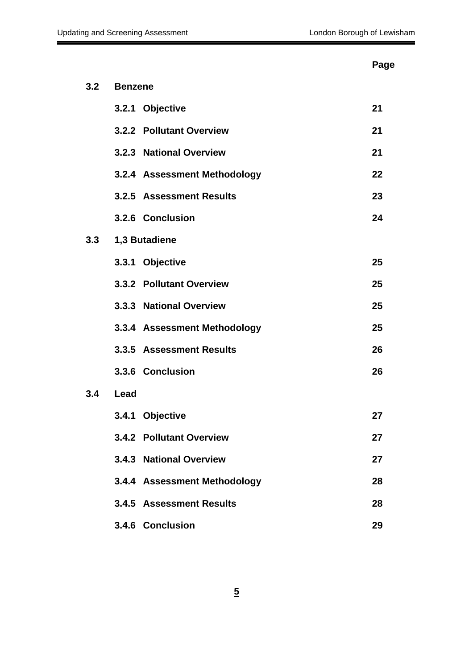#### Page **Page 2016 Page 2016 Page 2016**

| 3.2 | <b>Benzene</b> |                              |    |  |  |  |
|-----|----------------|------------------------------|----|--|--|--|
|     |                | 3.2.1 Objective              | 21 |  |  |  |
|     |                | 3.2.2 Pollutant Overview     | 21 |  |  |  |
|     |                | 3.2.3 National Overview      | 21 |  |  |  |
|     |                | 3.2.4 Assessment Methodology | 22 |  |  |  |
|     |                | 3.2.5 Assessment Results     | 23 |  |  |  |
|     |                | 3.2.6 Conclusion             | 24 |  |  |  |
| 3.3 |                | 1,3 Butadiene                |    |  |  |  |
|     |                | 3.3.1 Objective              | 25 |  |  |  |
|     |                | 3.3.2 Pollutant Overview     | 25 |  |  |  |
|     |                | 3.3.3 National Overview      | 25 |  |  |  |
|     |                | 3.3.4 Assessment Methodology | 25 |  |  |  |
|     |                | 3.3.5 Assessment Results     | 26 |  |  |  |
|     |                | 3.3.6 Conclusion             | 26 |  |  |  |
| 3.4 | Lead           |                              |    |  |  |  |
|     |                | 3.4.1 Objective              | 27 |  |  |  |
|     |                | 3.4.2 Pollutant Overview     | 27 |  |  |  |
|     |                | 3.4.3 National Overview      | 27 |  |  |  |
|     |                | 3.4.4 Assessment Methodology | 28 |  |  |  |
|     |                | 3.4.5 Assessment Results     | 28 |  |  |  |
|     |                | 3.4.6 Conclusion             | 29 |  |  |  |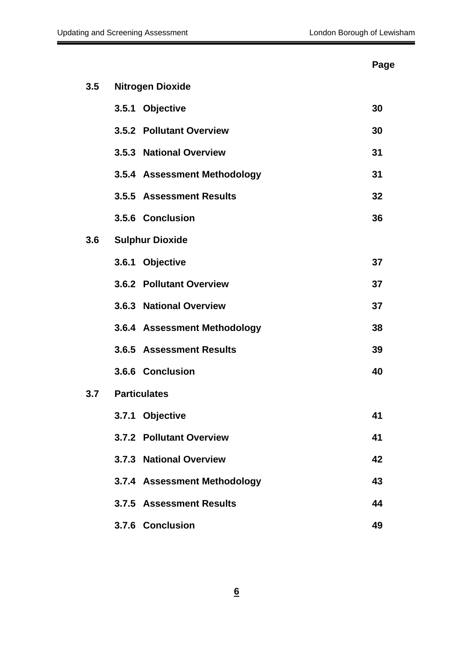#### **Page 2012 Page 2013**

| 3.5 | <b>Nitrogen Dioxide</b>      |    |
|-----|------------------------------|----|
|     | 3.5.1 Objective              | 30 |
|     | 3.5.2 Pollutant Overview     | 30 |
|     | 3.5.3 National Overview      | 31 |
|     | 3.5.4 Assessment Methodology | 31 |
|     | 3.5.5 Assessment Results     | 32 |
|     | 3.5.6 Conclusion             | 36 |
| 3.6 | <b>Sulphur Dioxide</b>       |    |
|     | 3.6.1 Objective              | 37 |
|     | 3.6.2 Pollutant Overview     | 37 |
|     | 3.6.3 National Overview      | 37 |
|     | 3.6.4 Assessment Methodology | 38 |
|     | 3.6.5 Assessment Results     | 39 |
|     | 3.6.6 Conclusion             | 40 |
|     | 3.7 Particulates             |    |
|     | 3.7.1 Objective              | 41 |
|     | 3.7.2 Pollutant Overview     | 41 |
|     | 3.7.3 National Overview      | 42 |
|     | 3.7.4 Assessment Methodology | 43 |
|     | 3.7.5 Assessment Results     | 44 |
|     | 3.7.6 Conclusion             | 49 |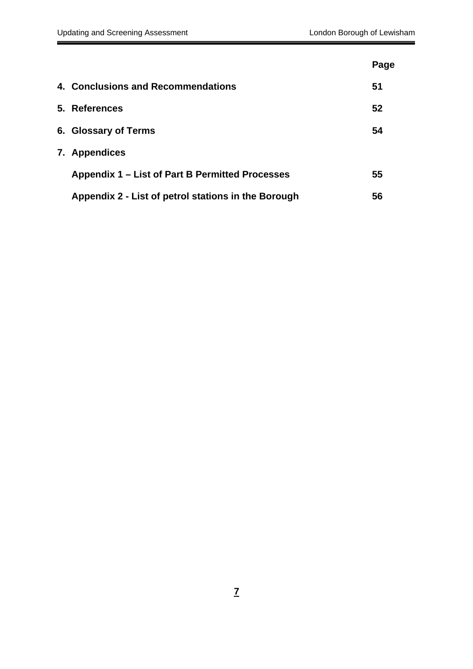|                                                     | Page |
|-----------------------------------------------------|------|
| 4. Conclusions and Recommendations                  | 51   |
| 5. References                                       | 52   |
| 6. Glossary of Terms                                | 54   |
| 7. Appendices                                       |      |
| Appendix 1 – List of Part B Permitted Processes     | 55   |
| Appendix 2 - List of petrol stations in the Borough | 56   |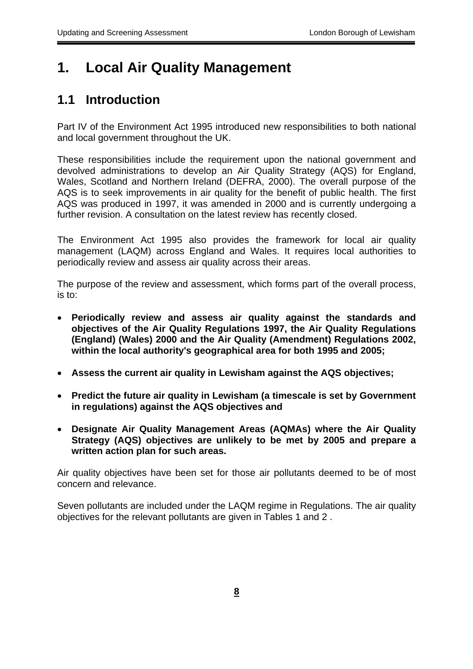# <span id="page-7-0"></span>**1. Local Air Quality Management**

## **1.1 Introduction**

Part IV of the Environment Act 1995 introduced new responsibilities to both national and local government throughout the UK.

These responsibilities include the requirement upon the national government and devolved administrations to develop an Air Quality Strategy (AQS) for England, Wales, Scotland and Northern Ireland (DEFRA, 2000). The overall purpose of the AQS is to seek improvements in air quality for the benefit of public health. The first AQS was produced in 1997, it was amended in 2000 and is currently undergoing a further revision. A consultation on the latest review has recently closed.

The Environment Act 1995 also provides the framework for local air quality management (LAQM) across England and Wales. It requires local authorities to periodically review and assess air quality across their areas.

The purpose of the review and assessment, which forms part of the overall process, is to:

- • **Periodically review and assess air quality against the standards and objectives of the Air Quality Regulations 1997, the Air Quality Regulations (England) (Wales) 2000 and the Air Quality (Amendment) Regulations 2002, within the local authority's geographical area for both 1995 and 2005;**
- • **Assess the current air quality in Lewisham against the AQS objectives;**
- • **Predict the future air quality in Lewisham (a timescale is set by Government in regulations) against the AQS objectives and**
- • **Designate Air Quality Management Areas (AQMAs) where the Air Quality Strategy (AQS) objectives are unlikely to be met by 2005 and prepare a written action plan for such areas.**

Air quality objectives have been set for those air pollutants deemed to be of most concern and relevance.

Seven pollutants are included under the LAQM regime in Regulations. The air quality objectives for the relevant pollutants are given in Tables 1 and 2 .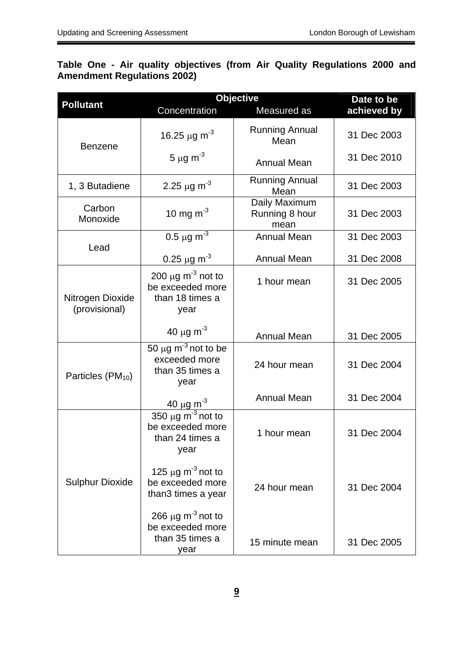#### **Table One - Air quality objectives (from Air Quality Regulations 2000 and Amendment Regulations 2002)**

|                                   | <b>Objective</b>                                                                  | Date to be                              |             |  |
|-----------------------------------|-----------------------------------------------------------------------------------|-----------------------------------------|-------------|--|
| <b>Pollutant</b>                  | Concentration                                                                     | Measured as                             | achieved by |  |
| <b>Benzene</b>                    | 16.25 $\mu$ g m <sup>-3</sup>                                                     | <b>Running Annual</b><br>Mean           | 31 Dec 2003 |  |
|                                   | 5 $\mu$ g m <sup>-3</sup>                                                         | <b>Annual Mean</b>                      | 31 Dec 2010 |  |
| 1, 3 Butadiene                    | 2.25 $\mu$ g m <sup>-3</sup>                                                      | <b>Running Annual</b><br>Mean           | 31 Dec 2003 |  |
| Carbon<br>Monoxide                | 10 mg m <sup>-3</sup>                                                             | Daily Maximum<br>Running 8 hour<br>mean | 31 Dec 2003 |  |
|                                   | 0.5 $\mu$ g m <sup>-3</sup>                                                       | <b>Annual Mean</b>                      | 31 Dec 2003 |  |
| Lead                              | 0.25 $\mu$ g m <sup>-3</sup>                                                      | <b>Annual Mean</b>                      | 31 Dec 2008 |  |
| Nitrogen Dioxide<br>(provisional) | 200 $\mu$ g m <sup>-3</sup> not to<br>be exceeded more<br>than 18 times a<br>year | 1 hour mean                             | 31 Dec 2005 |  |
|                                   | 40 $\mu$ g m <sup>-3</sup>                                                        | <b>Annual Mean</b>                      |             |  |
| Particles $(PM_{10})$             | 50 $\mu$ g m <sup>-3</sup> not to be<br>exceeded more<br>than 35 times a<br>year  | 24 hour mean                            | 31 Dec 2004 |  |
|                                   | $\frac{40 \text{ }\mu\text{g}}{\text{m}^3}$                                       | <b>Annual Mean</b>                      | 31 Dec 2004 |  |
|                                   | 350 $\mu$ g m <sup>-3</sup> not to<br>be exceeded more<br>than 24 times a<br>year | 1 hour mean                             | 31 Dec 2004 |  |
| <b>Sulphur Dioxide</b>            | 125 $\mu$ g m <sup>-3</sup> not to<br>be exceeded more<br>than3 times a year      | 24 hour mean                            | 31 Dec 2004 |  |
|                                   | 266 $\mu$ g m <sup>-3</sup> not to<br>be exceeded more<br>than 35 times a<br>year | 15 minute mean                          | 31 Dec 2005 |  |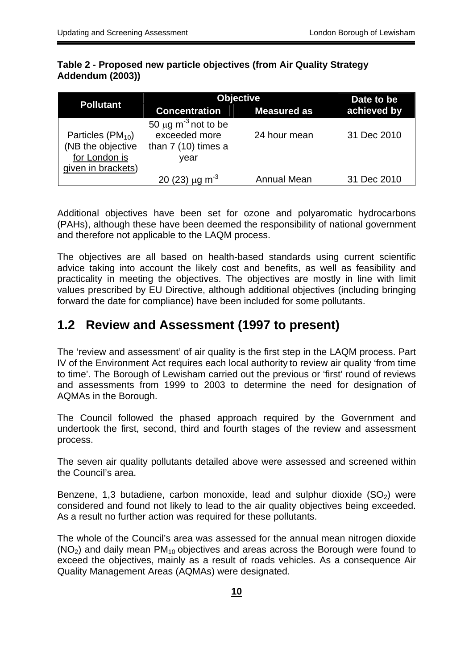#### **Table 2 - Proposed new particle objectives (from Air Quality Strategy Addendum (2003))**

|                                                                                   | <b>Objective</b>                                                                      | Date to be         |             |  |  |
|-----------------------------------------------------------------------------------|---------------------------------------------------------------------------------------|--------------------|-------------|--|--|
| <b>Pollutant</b>                                                                  | <b>Concentration</b>                                                                  | <b>Measured as</b> | achieved by |  |  |
| Particles $(PM_{10})$<br>(NB the objective<br>for London is<br>given in brackets) | 50 $\mu$ g m <sup>-3</sup> not to be<br>exceeded more<br>than $7(10)$ times a<br>vear | 24 hour mean       | 31 Dec 2010 |  |  |
|                                                                                   | 20 (23) $\mu$ g m <sup>-3</sup>                                                       | <b>Annual Mean</b> | 31 Dec 2010 |  |  |

Additional objectives have been set for ozone and polyaromatic hydrocarbons (PAHs), although these have been deemed the responsibility of national government and therefore not applicable to the LAQM process.

The objectives are all based on health-based standards using current scientific advice taking into account the likely cost and benefits, as well as feasibility and practicality in meeting the objectives. The objectives are mostly in line with limit values prescribed by EU Directive, although additional objectives (including bringing forward the date for compliance) have been included for some pollutants.

## **1.2 Review and Assessment (1997 to present)**

The 'review and assessment' of air quality is the first step in the LAQM process. Part IV of the Environment Act requires each local authority to review air quality 'from time to time'. The Borough of Lewisham carried out the previous or 'first' round of reviews and assessments from 1999 to 2003 to determine the need for designation of AQMAs in the Borough.

The Council followed the phased approach required by the Government and undertook the first, second, third and fourth stages of the review and assessment process.

The seven air quality pollutants detailed above were assessed and screened within the Council's area.

 considered and found not likely to lead to the air quality objectives being exceeded. Benzene, 1,3 butadiene, carbon monoxide, lead and sulphur dioxide  $(SO<sub>2</sub>)$  were As a result no further action was required for these pollutants.

The whole of the Council's area was assessed for the annual mean nitrogen dioxide  $(NO<sub>2</sub>)$  and daily mean PM<sub>10</sub> objectives and areas across the Borough were found to exceed the objectives, mainly as a result of roads vehicles. As a consequence Air Quality Management Areas (AQMAs) were designated.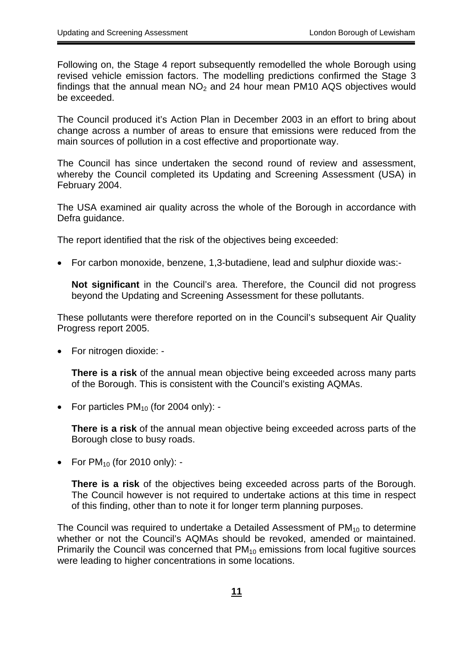Following on, the Stage 4 report subsequently remodelled the whole Borough using revised vehicle emission factors. The modelling predictions confirmed the Stage 3 findings that the annual mean  $NO<sub>2</sub>$  and 24 hour mean PM10 AQS objectives would be exceeded.

The Council produced it's Action Plan in December 2003 in an effort to bring about change across a number of areas to ensure that emissions were reduced from the main sources of pollution in a cost effective and proportionate way.

The Council has since undertaken the second round of review and assessment, whereby the Council completed its Updating and Screening Assessment (USA) in February 2004.

The USA examined air quality across the whole of the Borough in accordance with Defra guidance.

The report identified that the risk of the objectives being exceeded:

• For carbon monoxide, benzene, 1,3-butadiene, lead and sulphur dioxide was:-

**Not significant** in the Council's area. Therefore, the Council did not progress beyond the Updating and Screening Assessment for these pollutants.

These pollutants were therefore reported on in the Council's subsequent Air Quality Progress report 2005.

• For nitrogen dioxide: -

**There is a risk** of the annual mean objective being exceeded across many parts of the Borough. This is consistent with the Council's existing AQMAs.

• For particles  $PM_{10}$  (for 2004 only): -

**There is a risk** of the annual mean objective being exceeded across parts of the Borough close to busy roads.

• For  $PM_{10}$  (for 2010 only): -

**There is a risk** of the objectives being exceeded across parts of the Borough. The Council however is not required to undertake actions at this time in respect of this finding, other than to note it for longer term planning purposes.

 whether or not the Council's AQMAs should be revoked, amended or maintained. were leading to higher concentrations in some locations. The Council was required to undertake a Detailed Assessment of  $PM_{10}$  to determine Primarily the Council was concerned that PM<sub>10</sub> emissions from local fugitive sources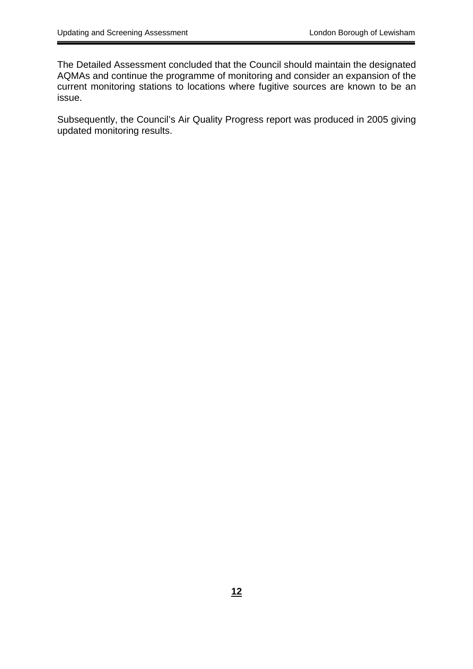The Detailed Assessment concluded that the Council should maintain the designated AQMAs and continue the programme of monitoring and consider an expansion of the current monitoring stations to locations where fugitive sources are known to be an issue.

Subsequently, the Council's Air Quality Progress report was produced in 2005 giving updated monitoring results.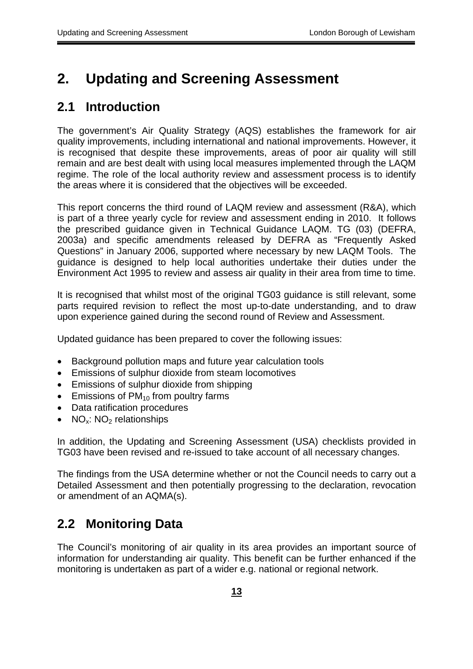# <span id="page-12-0"></span>**2. Updating and Screening Assessment**

## **2.1 Introduction**

The government's Air Quality Strategy (AQS) establishes the framework for air quality improvements, including international and national improvements. However, it is recognised that despite these improvements, areas of poor air quality will still remain and are best dealt with using local measures implemented through the LAQM regime. The role of the local authority review and assessment process is to identify the areas where it is considered that the objectives will be exceeded.

This report concerns the third round of LAQM review and assessment (R&A), which is part of a three yearly cycle for review and assessment ending in 2010. It follows the prescribed guidance given in Technical Guidance LAQM. TG (03) (DEFRA, 2003a) and specific amendments released by DEFRA as "Frequently Asked Questions" in January 2006, supported where necessary by new LAQM Tools. The guidance is designed to help local authorities undertake their duties under the Environment Act 1995 to review and assess air quality in their area from time to time.

It is recognised that whilst most of the original TG03 guidance is still relevant, some parts required revision to reflect the most up-to-date understanding, and to draw upon experience gained during the second round of Review and Assessment.

Updated guidance has been prepared to cover the following issues:

- Background pollution maps and future year calculation tools
- Emissions of sulphur dioxide from steam locomotives
- Emissions of sulphur dioxide from shipping
- Emissions of  $PM_{10}$  from poultry farms
- Data ratification procedures
- NO<sub>x</sub>: NO<sub>2</sub> relationships

In addition, the Updating and Screening Assessment (USA) checklists provided in TG03 have been revised and re-issued to take account of all necessary changes.

The findings from the USA determine whether or not the Council needs to carry out a Detailed Assessment and then potentially progressing to the declaration, revocation or amendment of an AQMA(s).

## **2.2 Monitoring Data**

The Council's monitoring of air quality in its area provides an important source of information for understanding air quality. This benefit can be further enhanced if the monitoring is undertaken as part of a wider e.g. national or regional network.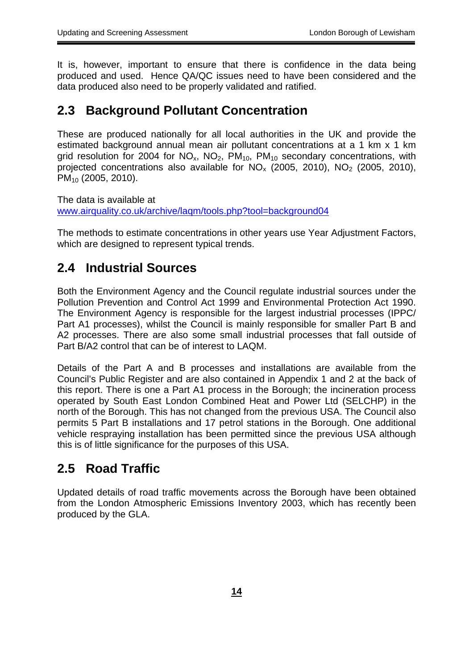<span id="page-13-0"></span>It is, however, important to ensure that there is confidence in the data being produced and used. Hence QA/QC issues need to have been considered and the data produced also need to be properly validated and ratified.

## **2.3 Background Pollutant Concentration**

These are produced nationally for all local authorities in the UK and provide the estimated background annual mean air pollutant concentrations at a 1 km x 1 km grid resolution for 2004 for  $NO<sub>x</sub>$ ,  $NO<sub>2</sub>$ ,  $PM<sub>10</sub>$ ,  $PM<sub>10</sub>$  secondary concentrations, with projected concentrations also available for  $NO_x$  (2005, 2010),  $NO_2$  (2005, 2010), PM<sub>10</sub> (2005, 2010).

www.airquality.co.uk/archive/lagm/tools.php?tool=background04 The data is available at

The methods to estimate concentrations in other years use Year Adjustment Factors, which are designed to represent typical trends.

## **2.4 Industrial Sources**

Both the Environment Agency and the Council regulate industrial sources under the Pollution Prevention and Control Act 1999 and Environmental Protection Act 1990. The Environment Agency is responsible for the largest industrial processes (IPPC/ Part A1 processes), whilst the Council is mainly responsible for smaller Part B and A2 processes. There are also some small industrial processes that fall outside of Part B/A2 control that can be of interest to LAQM.

Details of the Part A and B processes and installations are available from the Council's Public Register and are also contained in Appendix 1 and 2 at the back of this report. There is one a Part A1 process in the Borough; the incineration process operated by South East London Combined Heat and Power Ltd (SELCHP) in the north of the Borough. This has not changed from the previous USA. The Council also permits 5 Part B installations and 17 petrol stations in the Borough. One additional vehicle respraying installation has been permitted since the previous USA although this is of little significance for the purposes of this USA.

## **2.5 Road Traffic**

Updated details of road traffic movements across the Borough have been obtained from the London Atmospheric Emissions Inventory 2003, which has recently been produced by the GLA.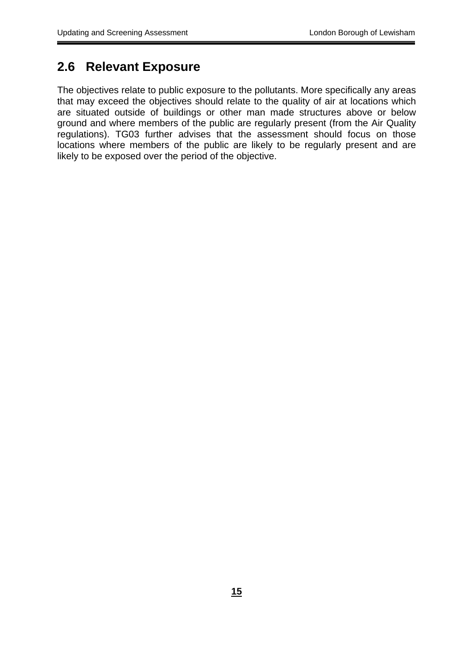## <span id="page-14-0"></span>**2.6 Relevant Exposure**

The objectives relate to public exposure to the pollutants. More specifically any areas that may exceed the objectives should relate to the quality of air at locations which are situated outside of buildings or other man made structures above or below ground and where members of the public are regularly present (from the Air Quality regulations). TG03 further advises that the assessment should focus on those locations where members of the public are likely to be regularly present and are likely to be exposed over the period of the objective.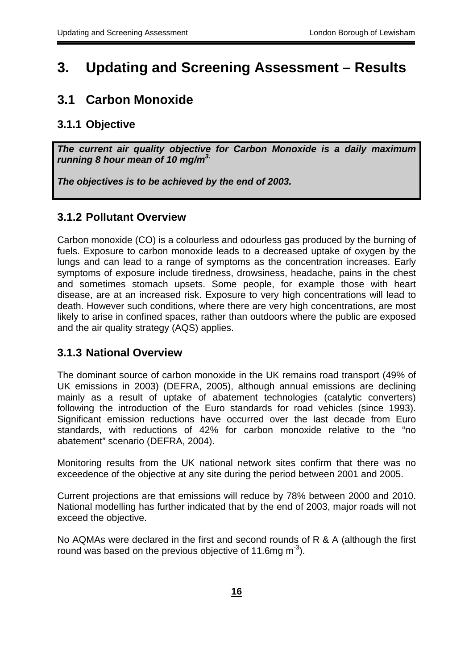## <span id="page-15-0"></span>**3. Updating and Screening Assessment – Results**

## **3.1 Carbon Monoxide**

## **3.1.1 Objective**

*The current air quality objective for Carbon Monoxide is a daily maximum running 8 hour mean of 10 mg/m3.* 

*The objectives is to be achieved by the end of 2003.* 

### **3.1.2 Pollutant Overview**

Carbon monoxide (CO) is a colourless and odourless gas produced by the burning of fuels. Exposure to carbon monoxide leads to a decreased uptake of oxygen by the lungs and can lead to a range of symptoms as the concentration increases. Early symptoms of exposure include tiredness, drowsiness, headache, pains in the chest and sometimes stomach upsets. Some people, for example those with heart disease, are at an increased risk. Exposure to very high concentrations will lead to death. However such conditions, where there are very high concentrations, are most likely to arise in confined spaces, rather than outdoors where the public are exposed and the air quality strategy (AQS) applies.

### **3.1.3 National Overview**

The dominant source of carbon monoxide in the UK remains road transport (49% of UK emissions in 2003) (DEFRA, 2005), although annual emissions are declining mainly as a result of uptake of abatement technologies (catalytic converters) following the introduction of the Euro standards for road vehicles (since 1993). Significant emission reductions have occurred over the last decade from Euro standards, with reductions of 42% for carbon monoxide relative to the "no abatement" scenario (DEFRA, 2004).

Monitoring results from the UK national network sites confirm that there was no exceedence of the objective at any site during the period between 2001 and 2005.

Current projections are that emissions will reduce by 78% between 2000 and 2010. National modelling has further indicated that by the end of 2003, major roads will not exceed the objective.

No AQMAs were declared in the first and second rounds of R & A (although the first round was based on the previous objective of 11.6mg  $m<sup>-3</sup>$ ).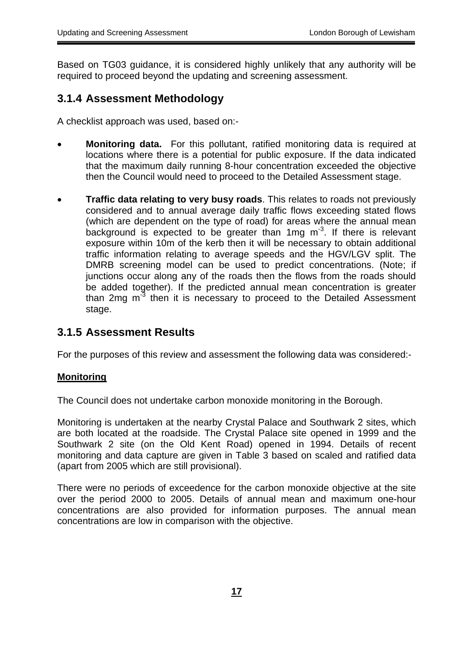<span id="page-16-0"></span>Based on TG03 guidance, it is considered highly unlikely that any authority will be required to proceed beyond the updating and screening assessment.

### **3.1.4 Assessment Methodology**

A checklist approach was used, based on:-

- **Monitoring data.** For this pollutant, ratified monitoring data is required at locations where there is a potential for public exposure. If the data indicated that the maximum daily running 8-hour concentration exceeded the objective then the Council would need to proceed to the Detailed Assessment stage.
- **Traffic data relating to very busy roads**. This relates to roads not previously considered and to annual average daily traffic flows exceeding stated flows (which are dependent on the type of road) for areas where the annual mean background is expected to be greater than 1mg m<sup>-3</sup>. If there is relevant exposure within 10m of the kerb then it will be necessary to obtain additional traffic information relating to average speeds and the HGV/LGV split. The DMRB screening model can be used to predict concentrations. (Note; if junctions occur along any of the roads then the flows from the roads should be added together). If the predicted annual mean concentration is greater than 2mg  $m<sup>3</sup>$  then it is necessary to proceed to the Detailed Assessment stage.

#### **3.1.5 Assessment Results**

For the purposes of this review and assessment the following data was considered:-

#### **Monitoring**

The Council does not undertake carbon monoxide monitoring in the Borough.

Monitoring is undertaken at the nearby Crystal Palace and Southwark 2 sites, which are both located at the roadside. The Crystal Palace site opened in 1999 and the Southwark 2 site (on the Old Kent Road) opened in 1994. Details of recent monitoring and data capture are given in Table 3 based on scaled and ratified data (apart from 2005 which are still provisional).

There were no periods of exceedence for the carbon monoxide objective at the site over the period 2000 to 2005. Details of annual mean and maximum one-hour concentrations are also provided for information purposes. The annual mean concentrations are low in comparison with the objective.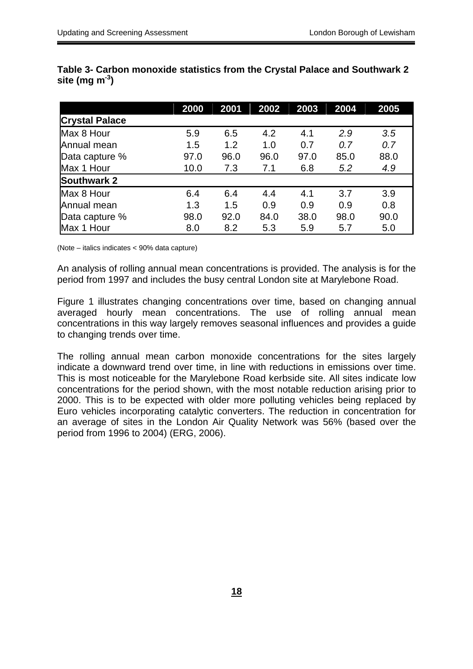|                       | 2000 | 2001 | 2002 | 2003 | 2004 | 2005 |
|-----------------------|------|------|------|------|------|------|
| <b>Crystal Palace</b> |      |      |      |      |      |      |
| Max 8 Hour            | 5.9  | 6.5  | 4.2  | 4.1  | 2.9  | 3.5  |
| Annual mean           | 1.5  | 1.2  | 1.0  | 0.7  | 0.7  | 0.7  |
| Data capture %        | 97.0 | 96.0 | 96.0 | 97.0 | 85.0 | 88.0 |
| Max 1 Hour            | 10.0 | 7.3  | 7.1  | 6.8  | 5.2  | 4.9  |
| <b>Southwark 2</b>    |      |      |      |      |      |      |
| Max 8 Hour            | 6.4  | 6.4  | 4.4  | 4.1  | 3.7  | 3.9  |
| Annual mean           | 1.3  | 1.5  | 0.9  | 0.9  | 0.9  | 0.8  |
| Data capture %        | 98.0 | 92.0 | 84.0 | 38.0 | 98.0 | 90.0 |
| Max 1 Hour            | 8.0  | 8.2  | 5.3  | 5.9  | 5.7  | 5.0  |

**Table 3- Carbon monoxide statistics from the Crystal Palace and Southwark 2 site (mg m-3)** 

(Note – italics indicates < 90% data capture)

An analysis of rolling annual mean concentrations is provided. The analysis is for the period from 1997 and includes the busy central London site at Marylebone Road.

Figure 1 illustrates changing concentrations over time, based on changing annual averaged hourly mean concentrations. The use of rolling annual mean concentrations in this way largely removes seasonal influences and provides a guide to changing trends over time.

The rolling annual mean carbon monoxide concentrations for the sites largely indicate a downward trend over time, in line with reductions in emissions over time. This is most noticeable for the Marylebone Road kerbside site. All sites indicate low concentrations for the period shown, with the most notable reduction arising prior to 2000. This is to be expected with older more polluting vehicles being replaced by Euro vehicles incorporating catalytic converters. The reduction in concentration for an average of sites in the London Air Quality Network was 56% (based over the period from 1996 to 2004) (ERG, 2006).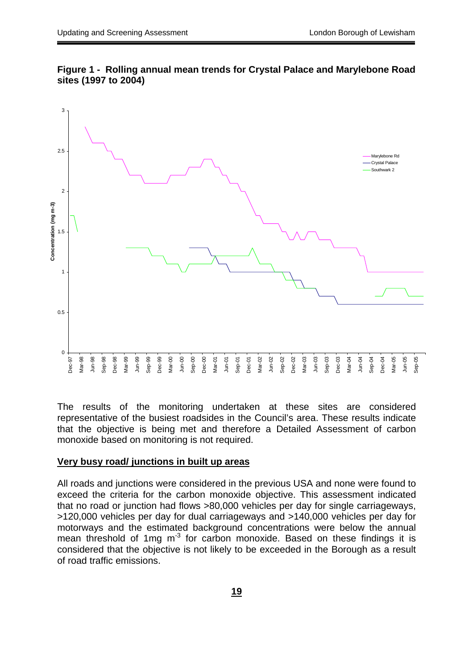



The results of the monitoring undertaken at these sites are considered representative of the busiest roadsides in the Council's area. These results indicate that the objective is being met and therefore a Detailed Assessment of carbon monoxide based on monitoring is not required.

#### **Very busy road/ junctions in built up areas**

All roads and junctions were considered in the previous USA and none were found to exceed the criteria for the carbon monoxide objective. This assessment indicated that no road or junction had flows >80,000 vehicles per day for single carriageways, >120,000 vehicles per day for dual carriageways and >140,000 vehicles per day for motorways and the estimated background concentrations were below the annual mean threshold of 1mg  $m<sup>3</sup>$  for carbon monoxide. Based on these findings it is considered that the objective is not likely to be exceeded in the Borough as a result of road traffic emissions.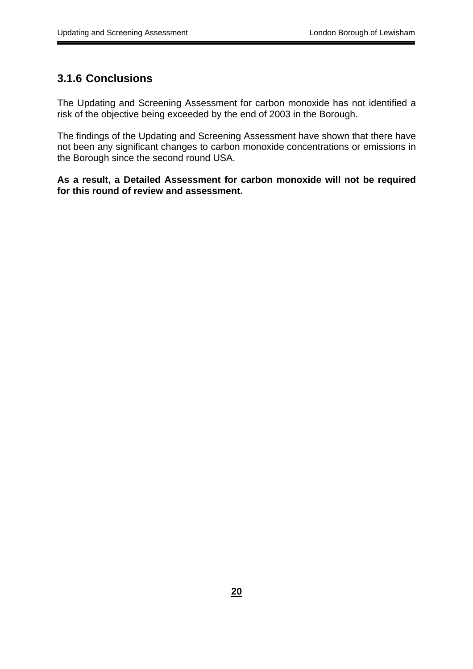### <span id="page-19-0"></span>**3.1.6 Conclusions**

The Updating and Screening Assessment for carbon monoxide has not identified a risk of the objective being exceeded by the end of 2003 in the Borough.

The findings of the Updating and Screening Assessment have shown that there have not been any significant changes to carbon monoxide concentrations or emissions in the Borough since the second round USA.

**As a result, a Detailed Assessment for carbon monoxide will not be required for this round of review and assessment.**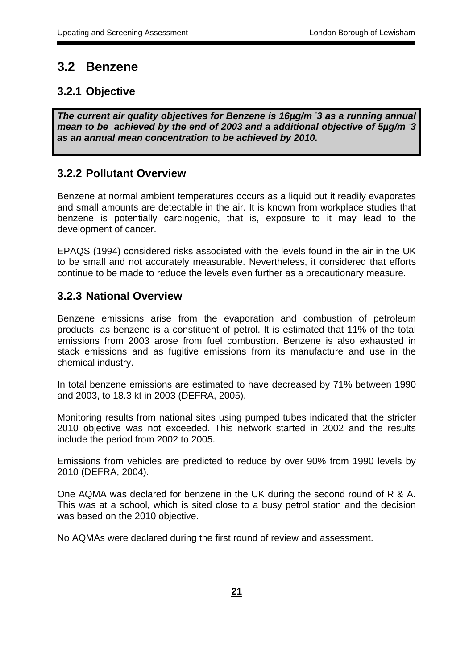## <span id="page-20-0"></span>**3.2 Benzene**

## **3.2.1 Objective**

*The current air quality objectives for Benzene is 16µg/m - 3 as a running annual mean to be achieved by the end of 2003 and a additional objective of 5µg/m - 3 as an annual mean concentration to be achieved by 2010.* 

## **3.2.2 Pollutant Overview**

Benzene at normal ambient temperatures occurs as a liquid but it readily evaporates and small amounts are detectable in the air. It is known from workplace studies that benzene is potentially carcinogenic, that is, exposure to it may lead to the development of cancer.

EPAQS (1994) considered risks associated with the levels found in the air in the UK to be small and not accurately measurable. Nevertheless, it considered that efforts continue to be made to reduce the levels even further as a precautionary measure.

### **3.2.3 National Overview**

Benzene emissions arise from the evaporation and combustion of petroleum products, as benzene is a constituent of petrol. It is estimated that 11% of the total emissions from 2003 arose from fuel combustion. Benzene is also exhausted in stack emissions and as fugitive emissions from its manufacture and use in the chemical industry.

In total benzene emissions are estimated to have decreased by 71% between 1990 and 2003, to 18.3 kt in 2003 (DEFRA, 2005).

Monitoring results from national sites using pumped tubes indicated that the stricter 2010 objective was not exceeded. This network started in 2002 and the results include the period from 2002 to 2005.

Emissions from vehicles are predicted to reduce by over 90% from 1990 levels by 2010 (DEFRA, 2004).

One AQMA was declared for benzene in the UK during the second round of R & A. This was at a school, which is sited close to a busy petrol station and the decision was based on the 2010 objective.

No AQMAs were declared during the first round of review and assessment.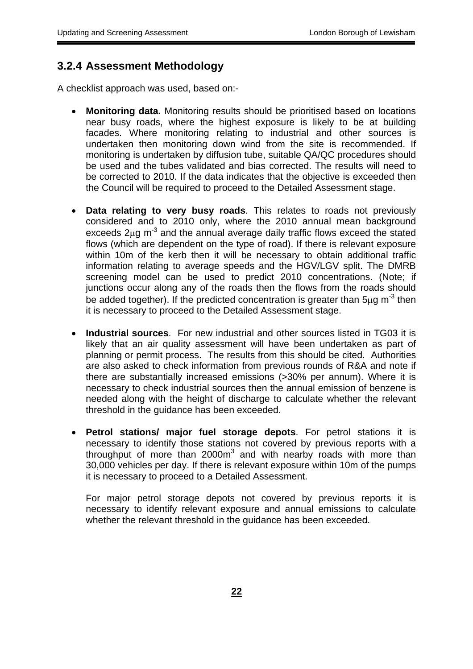#### <span id="page-21-0"></span> **3.2.4 Assessment Methodology**

A checklist approach was used, based on:-

- **Monitoring data.** Monitoring results should be prioritised based on locations near busy roads, where the highest exposure is likely to be at building facades. Where monitoring relating to industrial and other sources is undertaken then monitoring down wind from the site is recommended. If monitoring is undertaken by diffusion tube, suitable QA/QC procedures should be used and the tubes validated and bias corrected. The results will need to be corrected to 2010. If the data indicates that the objective is exceeded then the Council will be required to proceed to the Detailed Assessment stage.
- • **Data relating to very busy roads**. This relates to roads not previously considered and to 2010 only, where the 2010 annual mean background exceeds  $2\mu$ g m<sup>-3</sup> and the annual average daily traffic flows exceed the stated flows (which are dependent on the type of road). If there is relevant exposure within 10m of the kerb then it will be necessary to obtain additional traffic information relating to average speeds and the HGV/LGV split. The DMRB screening model can be used to predict 2010 concentrations. (Note; if junctions occur along any of the roads then the flows from the roads should be added together). If the predicted concentration is greater than  $5\mu$ g m<sup>-3</sup> then it is necessary to proceed to the Detailed Assessment stage.
- • **Industrial sources**. For new industrial and other sources listed in TG03 it is likely that an air quality assessment will have been undertaken as part of planning or permit process. The results from this should be cited. Authorities are also asked to check information from previous rounds of R&A and note if there are substantially increased emissions (>30% per annum). Where it is necessary to check industrial sources then the annual emission of benzene is needed along with the height of discharge to calculate whether the relevant threshold in the guidance has been exceeded.
- • **Petrol stations/ major fuel storage depots**. For petrol stations it is necessary to identify those stations not covered by previous reports with a throughput of more than 2000 $m<sup>3</sup>$  and with nearby roads with more than 30,000 vehicles per day. If there is relevant exposure within 10m of the pumps it is necessary to proceed to a Detailed Assessment.

For major petrol storage depots not covered by previous reports it is necessary to identify relevant exposure and annual emissions to calculate whether the relevant threshold in the guidance has been exceeded.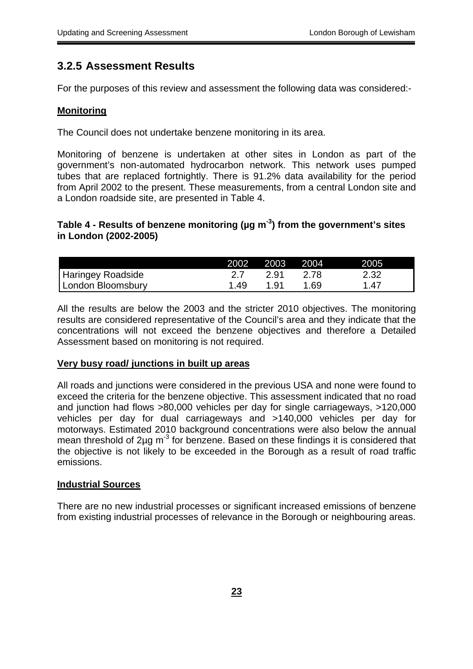### **3.2.5 Assessment Results**

For the purposes of this review and assessment the following data was considered:-

#### **Monitoring**

The Council does not undertake benzene monitoring in its area.

Monitoring of benzene is undertaken at other sites in London as part of the government's non-automated hydrocarbon network. This network uses pumped tubes that are replaced fortnightly. There is 91.2% data availability for the period from April 2002 to the present. These measurements, from a central London site and a London roadside site, are presented in Table 4.

#### **Table 4 - Results of benzene monitoring (µg m-3) from the government's sites in London (2002-2005)**

|                          |      | 2002 2003 2004 |      | 2005 |
|--------------------------|------|----------------|------|------|
| <b>Haringey Roadside</b> |      | 2.91           | 2.78 | 2.32 |
| London Bloomsbury        | 1.49 | 1.91           | 1.69 | 1 47 |

All the results are below the 2003 and the stricter 2010 objectives. The monitoring results are considered representative of the Council's area and they indicate that the concentrations will not exceed the benzene objectives and therefore a Detailed Assessment based on monitoring is not required.

#### **Very busy road/ junctions in built up areas**

All roads and junctions were considered in the previous USA and none were found to exceed the criteria for the benzene objective. This assessment indicated that no road and junction had flows >80,000 vehicles per day for single carriageways, >120,000 vehicles per day for dual carriageways and >140,000 vehicles per day for motorways. Estimated 2010 background concentrations were also below the annual mean threshold of  $2\mu$ g m<sup>-3</sup> for benzene. Based on these findings it is considered that the objective is not likely to be exceeded in the Borough as a result of road traffic emissions.

#### **Industrial Sources**

There are no new industrial processes or significant increased emissions of benzene from existing industrial processes of relevance in the Borough or neighbouring areas.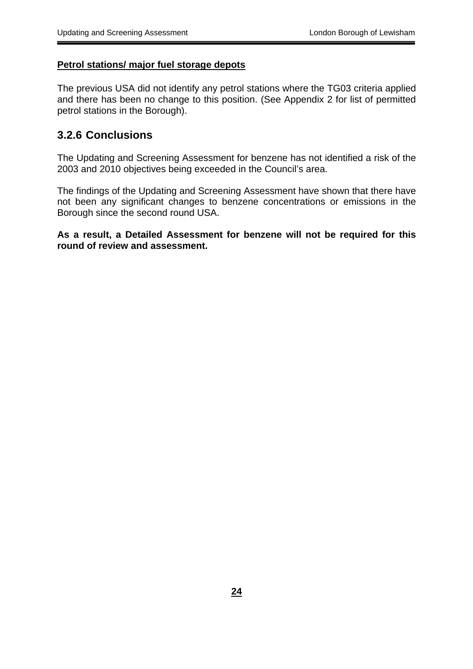#### <span id="page-23-0"></span>**Petrol stations/ major fuel storage depots**

The previous USA did not identify any petrol stations where the TG03 criteria applied and there has been no change to this position. (See Appendix 2 for list of permitted petrol stations in the Borough).

#### **3.2.6 Conclusions**

The Updating and Screening Assessment for benzene has not identified a risk of the 2003 and 2010 objectives being exceeded in the Council's area.

The findings of the Updating and Screening Assessment have shown that there have not been any significant changes to benzene concentrations or emissions in the Borough since the second round USA.

**As a result, a Detailed Assessment for benzene will not be required for this round of review and assessment.**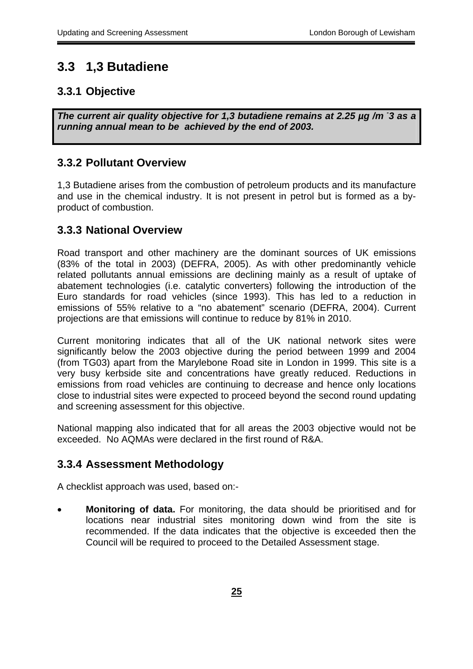## <span id="page-24-0"></span>**3.3 1,3 Butadiene**

## **3.3.1 Objective**

*The current air quality objective for 1,3 butadiene remains at 2.25 µg /m - 3 as a running annual mean to be achieved by the end of 2003.* 

### **3.3.2 Pollutant Overview**

1,3 Butadiene arises from the combustion of petroleum products and its manufacture and use in the chemical industry. It is not present in petrol but is formed as a byproduct of combustion.

### **3.3.3 National Overview**

Road transport and other machinery are the dominant sources of UK emissions (83% of the total in 2003) (DEFRA, 2005). As with other predominantly vehicle related pollutants annual emissions are declining mainly as a result of uptake of abatement technologies (i.e. catalytic converters) following the introduction of the Euro standards for road vehicles (since 1993). This has led to a reduction in emissions of 55% relative to a "no abatement" scenario (DEFRA, 2004). Current projections are that emissions will continue to reduce by 81% in 2010.

Current monitoring indicates that all of the UK national network sites were significantly below the 2003 objective during the period between 1999 and 2004 (from TG03) apart from the Marylebone Road site in London in 1999. This site is a very busy kerbside site and concentrations have greatly reduced. Reductions in emissions from road vehicles are continuing to decrease and hence only locations close to industrial sites were expected to proceed beyond the second round updating and screening assessment for this objective.

National mapping also indicated that for all areas the 2003 objective would not be exceeded. No AQMAs were declared in the first round of R&A.

## **3.3.4 Assessment Methodology**

A checklist approach was used, based on:-

**Monitoring of data.** For monitoring, the data should be prioritised and for locations near industrial sites monitoring down wind from the site is recommended. If the data indicates that the objective is exceeded then the Council will be required to proceed to the Detailed Assessment stage.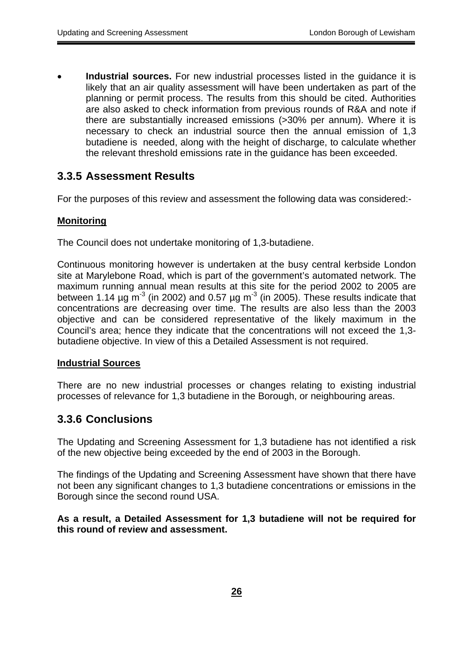<span id="page-25-0"></span>**Industrial sources.** For new industrial processes listed in the guidance it is likely that an air quality assessment will have been undertaken as part of the planning or permit process. The results from this should be cited. Authorities are also asked to check information from previous rounds of R&A and note if there are substantially increased emissions (>30% per annum). Where it is necessary to check an industrial source then the annual emission of 1,3 butadiene is needed, along with the height of discharge, to calculate whether the relevant threshold emissions rate in the guidance has been exceeded.

### **3.3.5 Assessment Results**

For the purposes of this review and assessment the following data was considered:-

#### **Monitoring**

The Council does not undertake monitoring of 1,3-butadiene.

Continuous monitoring however is undertaken at the busy central kerbside London site at Marylebone Road, which is part of the government's automated network. The maximum running annual mean results at this site for the period 2002 to 2005 are between 1.14  $\mu$ g m<sup>-3</sup> (in 2002) and 0.57  $\mu$ g m<sup>-3</sup> (in 2005). These results indicate that concentrations are decreasing over time. The results are also less than the 2003 objective and can be considered representative of the likely maximum in the Council's area; hence they indicate that the concentrations will not exceed the 1,3 butadiene objective. In view of this a Detailed Assessment is not required.

#### **Industrial Sources**

There are no new industrial processes or changes relating to existing industrial processes of relevance for 1,3 butadiene in the Borough, or neighbouring areas.

#### **3.3.6 Conclusions**

The Updating and Screening Assessment for 1,3 butadiene has not identified a risk of the new objective being exceeded by the end of 2003 in the Borough.

The findings of the Updating and Screening Assessment have shown that there have not been any significant changes to 1,3 butadiene concentrations or emissions in the Borough since the second round USA.

**As a result, a Detailed Assessment for 1,3 butadiene will not be required for this round of review and assessment.**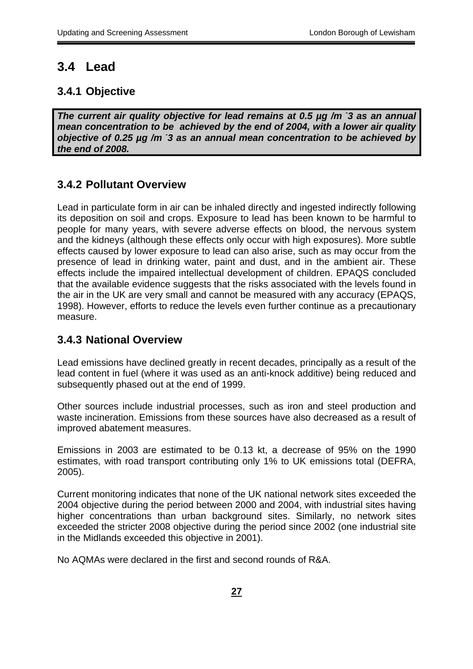### <span id="page-26-0"></span>**3.4 Lead**

#### **3.4.1 Objective**

*The current air quality objective for lead remains at 0.5 µg /m <sup>3</sup> as an annual mean concentration to be achieved by the end of 2004, with a lower air quality objective of 0.25 µg /m - 3 as an annual mean concentration to be achieved by the end of 2008.* 

#### **3.4.2 Pollutant Overview**

Lead in particulate form in air can be inhaled directly and ingested indirectly following its deposition on soil and crops. Exposure to lead has been known to be harmful to people for many years, with severe adverse effects on blood, the nervous system and the kidneys (although these effects only occur with high exposures). More subtle effects caused by lower exposure to lead can also arise, such as may occur from the presence of lead in drinking water, paint and dust, and in the ambient air. These effects include the impaired intellectual development of children. EPAQS concluded that the available evidence suggests that the risks associated with the levels found in the air in the UK are very small and cannot be measured with any accuracy (EPAQS, 1998). However, efforts to reduce the levels even further continue as a precautionary measure.

#### **3.4.3 National Overview**

Lead emissions have declined greatly in recent decades, principally as a result of the lead content in fuel (where it was used as an anti-knock additive) being reduced and subsequently phased out at the end of 1999.

Other sources include industrial processes, such as iron and steel production and waste incineration. Emissions from these sources have also decreased as a result of improved abatement measures.

Emissions in 2003 are estimated to be 0.13 kt, a decrease of 95% on the 1990 estimates, with road transport contributing only 1% to UK emissions total (DEFRA, 2005).

Current monitoring indicates that none of the UK national network sites exceeded the 2004 objective during the period between 2000 and 2004, with industrial sites having higher concentrations than urban background sites. Similarly, no network sites exceeded the stricter 2008 objective during the period since 2002 (one industrial site in the Midlands exceeded this objective in 2001).

No AQMAs were declared in the first and second rounds of R&A.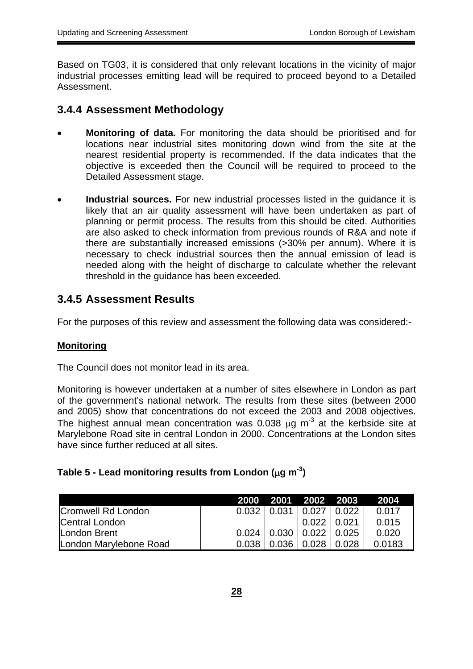Based on TG03, it is considered that only relevant locations in the vicinity of major industrial processes emitting lead will be required to proceed beyond to a Detailed Assessment.

#### **3.4.4 Assessment Methodology**

- **Monitoring of data.** For monitoring the data should be prioritised and for locations near industrial sites monitoring down wind from the site at the nearest residential property is recommended. If the data indicates that the objective is exceeded then the Council will be required to proceed to the Detailed Assessment stage.
- **Industrial sources.** For new industrial processes listed in the guidance it is likely that an air quality assessment will have been undertaken as part of planning or permit process. The results from this should be cited. Authorities are also asked to check information from previous rounds of R&A and note if there are substantially increased emissions (>30% per annum). Where it is necessary to check industrial sources then the annual emission of lead is needed along with the height of discharge to calculate whether the relevant threshold in the guidance has been exceeded.

### **3.4.5 Assessment Results**

For the purposes of this review and assessment the following data was considered:-

#### **Monitoring**

The Council does not monitor lead in its area.

 and 2005) show that concentrations do not exceed the 2003 and 2008 objectives. Monitoring is however undertaken at a number of sites elsewhere in London as part of the government's national network. The results from these sites (between 2000 The highest annual mean concentration was 0.038  $\mu$ g m<sup>-3</sup> at the kerbside site at Marylebone Road site in central London in 2000. Concentrations at the London sites have since further reduced at all sites.

#### **Table 5 - Lead monitoring results from London (**µ**g m-3)**

|                           |               | 2000 2001 2002 2003             | 2004   |
|---------------------------|---------------|---------------------------------|--------|
| <b>Cromwell Rd London</b> | $0.032 \perp$ | $0.031 \mid 0.027 \mid 0.022$   | 0.017  |
| <b>Central London</b>     |               | $0.022 \mid 0.021$              | 0.015  |
| London Brent              |               | $0.024$   0.030   0.022   0.025 | 0.020  |
| London Marylebone Road    | 0.038         | $0.036$   $0.028$   $0.028$     | 0.0183 |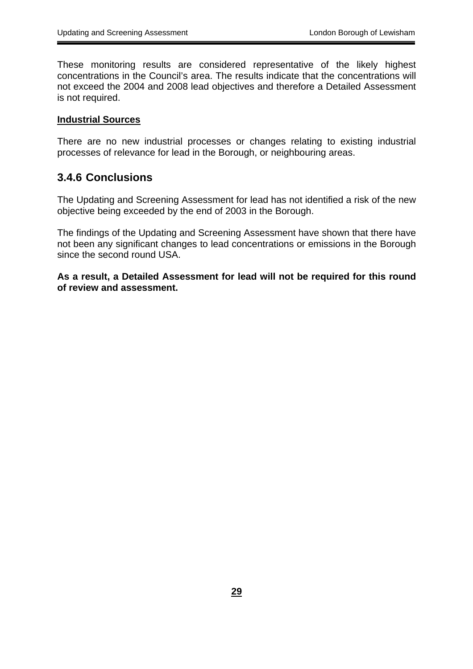<span id="page-28-0"></span>These monitoring results are considered representative of the likely highest concentrations in the Council's area. The results indicate that the concentrations will not exceed the 2004 and 2008 lead objectives and therefore a Detailed Assessment is not required.

#### **Industrial Sources**

There are no new industrial processes or changes relating to existing industrial processes of relevance for lead in the Borough, or neighbouring areas.

#### **3.4.6 Conclusions**

The Updating and Screening Assessment for lead has not identified a risk of the new objective being exceeded by the end of 2003 in the Borough.

The findings of the Updating and Screening Assessment have shown that there have not been any significant changes to lead concentrations or emissions in the Borough since the second round USA.

**As a result, a Detailed Assessment for lead will not be required for this round of review and assessment.**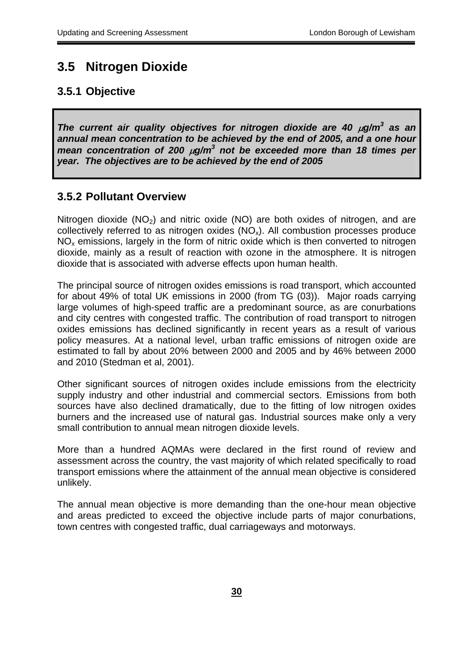## <span id="page-29-0"></span>**3.5 Nitrogen Dioxide**

#### **3.5.1 Objective**

*The current air quality objectives for nitrogen dioxide are 40*  $\mu$ *g/m<sup>3</sup> as an annual mean concentration to be achieved by the end of 2005, and a one hour mean concentration of 200 µg/m<sup>3</sup> not be exceeded more than 18 times per year. The objectives are to be achieved by the end of 2005* 

#### **3.5.2 Pollutant Overview**

Nitrogen dioxide  $(NO<sub>2</sub>)$  and nitric oxide  $(NO<sub>2</sub>)$  are both oxides of nitrogen, and are collectively referred to as nitrogen oxides  $(NO<sub>x</sub>)$ . All combustion processes produce  $NO<sub>x</sub>$  emissions, largely in the form of nitric oxide which is then converted to nitrogen dioxide, mainly as a result of reaction with ozone in the atmosphere. It is nitrogen dioxide that is associated with adverse effects upon human health.

The principal source of nitrogen oxides emissions is road transport, which accounted for about 49% of total UK emissions in 2000 (from TG (03)). Major roads carrying large volumes of high-speed traffic are a predominant source, as are conurbations and city centres with congested traffic. The contribution of road transport to nitrogen oxides emissions has declined significantly in recent years as a result of various policy measures. At a national level, urban traffic emissions of nitrogen oxide are estimated to fall by about 20% between 2000 and 2005 and by 46% between 2000 and 2010 (Stedman et al, 2001).

Other significant sources of nitrogen oxides include emissions from the electricity supply industry and other industrial and commercial sectors. Emissions from both sources have also declined dramatically, due to the fitting of low nitrogen oxides burners and the increased use of natural gas. Industrial sources make only a very small contribution to annual mean nitrogen dioxide levels.

More than a hundred AQMAs were declared in the first round of review and assessment across the country, the vast majority of which related specifically to road transport emissions where the attainment of the annual mean objective is considered unlikely.

The annual mean objective is more demanding than the one-hour mean objective and areas predicted to exceed the objective include parts of major conurbations, town centres with congested traffic, dual carriageways and motorways.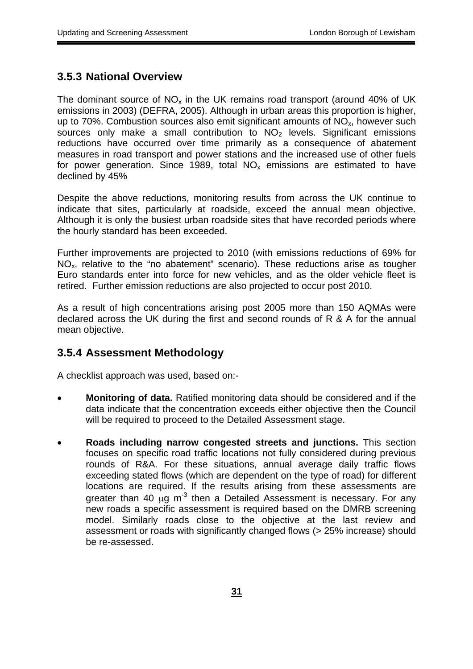### <span id="page-30-0"></span>**3.5.3 National Overview**

The dominant source of  $NO<sub>x</sub>$  in the UK remains road transport (around 40% of UK emissions in 2003) (DEFRA, 2005). Although in urban areas this proportion is higher, up to 70%. Combustion sources also emit significant amounts of  $NO<sub>x</sub>$ , however such sources only make a small contribution to  $NO<sub>2</sub>$  levels. Significant emissions reductions have occurred over time primarily as a consequence of abatement measures in road transport and power stations and the increased use of other fuels for power generation. Since 1989, total  $NO<sub>x</sub>$  emissions are estimated to have declined by 45%

Despite the above reductions, monitoring results from across the UK continue to indicate that sites, particularly at roadside, exceed the annual mean objective. Although it is only the busiest urban roadside sites that have recorded periods where the hourly standard has been exceeded.

Further improvements are projected to 2010 (with emissions reductions of 69% for  $NO<sub>x</sub>$ , relative to the "no abatement" scenario). These reductions arise as tougher Euro standards enter into force for new vehicles, and as the older vehicle fleet is retired. Further emission reductions are also projected to occur post 2010.

As a result of high concentrations arising post 2005 more than 150 AQMAs were declared across the UK during the first and second rounds of R & A for the annual mean objective.

### **3.5.4 Assessment Methodology**

A checklist approach was used, based on:-

- **Monitoring of data.** Ratified monitoring data should be considered and if the data indicate that the concentration exceeds either objective then the Council will be required to proceed to the Detailed Assessment stage.
- **Roads including narrow congested streets and junctions.** This section focuses on specific road traffic locations not fully considered during previous rounds of R&A. For these situations, annual average daily traffic flows exceeding stated flows (which are dependent on the type of road) for different locations are required. If the results arising from these assessments are greater than 40  $\mu$ g m<sup>-3</sup> then a Detailed Assessment is necessary. For any new roads a specific assessment is required based on the DMRB screening model. Similarly roads close to the objective at the last review and assessment or roads with significantly changed flows (> 25% increase) should be re-assessed.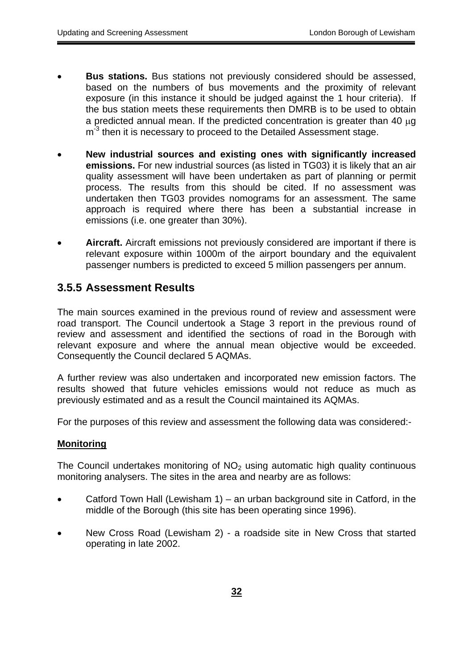- <span id="page-31-0"></span>**Bus stations.** Bus stations not previously considered should be assessed, based on the numbers of bus movements and the proximity of relevant exposure (in this instance it should be judged against the 1 hour criteria). If the bus station meets these requirements then DMRB is to be used to obtain a predicted annual mean. If the predicted concentration is greater than 40 µg  $m<sup>3</sup>$  then it is necessary to proceed to the Detailed Assessment stage.
- New industrial sources and existing ones with significantly increased  **emissions.** For new industrial sources (as listed in TG03) it is likely that an air quality assessment will have been undertaken as part of planning or permit process. The results from this should be cited. If no assessment was undertaken then TG03 provides nomograms for an assessment. The same approach is required where there has been a substantial increase in emissions (i.e. one greater than 30%).
- Aircraft. Aircraft emissions not previously considered are important if there is relevant exposure within 1000m of the airport boundary and the equivalent passenger numbers is predicted to exceed 5 million passengers per annum.

### **3.5.5 Assessment Results**

The main sources examined in the previous round of review and assessment were road transport. The Council undertook a Stage 3 report in the previous round of review and assessment and identified the sections of road in the Borough with relevant exposure and where the annual mean objective would be exceeded. Consequently the Council declared 5 AQMAs.

A further review was also undertaken and incorporated new emission factors. The results showed that future vehicles emissions would not reduce as much as previously estimated and as a result the Council maintained its AQMAs.

For the purposes of this review and assessment the following data was considered:-

#### **Monitoring**

The Council undertakes monitoring of  $NO<sub>2</sub>$  using automatic high quality continuous monitoring analysers. The sites in the area and nearby are as follows:

- Catford Town Hall (Lewisham 1) an urban background site in Catford, in the middle of the Borough (this site has been operating since 1996).
- New Cross Road (Lewisham 2) a roadside site in New Cross that started operating in late 2002.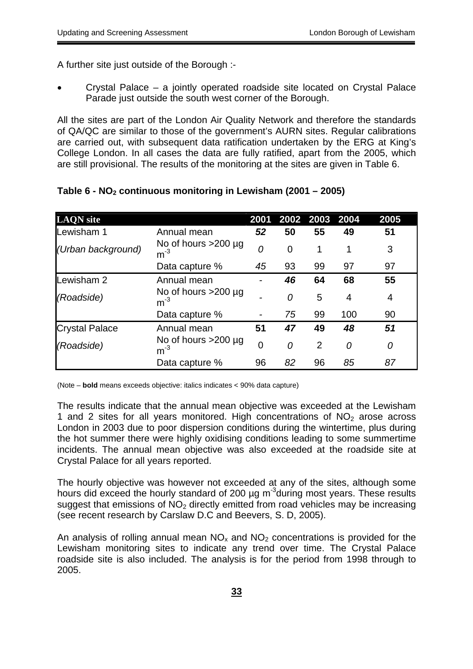A further site just outside of the Borough :-

Crystal Palace – a jointly operated roadside site located on Crystal Palace Parade just outside the south west corner of the Borough.

All the sites are part of the London Air Quality Network and therefore the standards of QA/QC are similar to those of the government's AURN sites. Regular calibrations are carried out, with subsequent data ratification undertaken by the ERG at King's College London. In all cases the data are fully ratified, apart from the 2005, which are still provisional. The results of the monitoring at the sites are given in Table 6.

| <b>LAQN</b> site      |                                                    | 2001 | 2002 2003      |                | 2004 | 2005 |
|-----------------------|----------------------------------------------------|------|----------------|----------------|------|------|
| Lewisham 1            | Annual mean                                        | 52   | 50             | 55             | 49   | 51   |
| (Urban background)    | No of hours $>200 \mu g$<br>$\mathsf{m}^\text{-3}$ | 0    | $\overline{0}$ | 1              | 1    | 3    |
|                       | Data capture %                                     | 45   | 93             | 99             | 97   | 97   |
| Lewisham 2            | Annual mean                                        |      | 46             | 64             | 68   | 55   |
| (Roadside)            | No of hours $>200 \mu g$<br>$m^{-3}$               |      | 0              | 5              | 4    | 4    |
|                       | Data capture %                                     |      | 75             | 99             | 100  | 90   |
| <b>Crystal Palace</b> | Annual mean                                        | 51   | 47             | 49             | 48   | 51   |
| (Roadside)            | No of hours $>200 \mu g$<br>$m^{-3}$               | 0    | 0              | $\overline{2}$ | 0    | 0    |
|                       | Data capture %                                     | 96   | 82             | 96             | 85   | 87   |

#### **Table 6 - NO2 continuous monitoring in Lewisham (2001 – 2005)**

(Note – **bold** means exceeds objective: italics indicates < 90% data capture)

The results indicate that the annual mean objective was exceeded at the Lewisham 1 and 2 sites for all years monitored. High concentrations of  $NO<sub>2</sub>$  arose across London in 2003 due to poor dispersion conditions during the wintertime, plus during the hot summer there were highly oxidising conditions leading to some summertime incidents. The annual mean objective was also exceeded at the roadside site at Crystal Palace for all years reported.

The hourly objective was however not exceeded at any of the sites, although some hours did exceed the hourly standard of 200  $\mu$ g m<sup>-3</sup>during most years. These results suggest that emissions of  $NO<sub>2</sub>$  directly emitted from road vehicles may be increasing (see recent research by Carslaw D.C and Beevers, S. D, 2005).

An analysis of rolling annual mean  $NO<sub>x</sub>$  and  $NO<sub>2</sub>$  concentrations is provided for the Lewisham monitoring sites to indicate any trend over time. The Crystal Palace roadside site is also included. The analysis is for the period from 1998 through to 2005.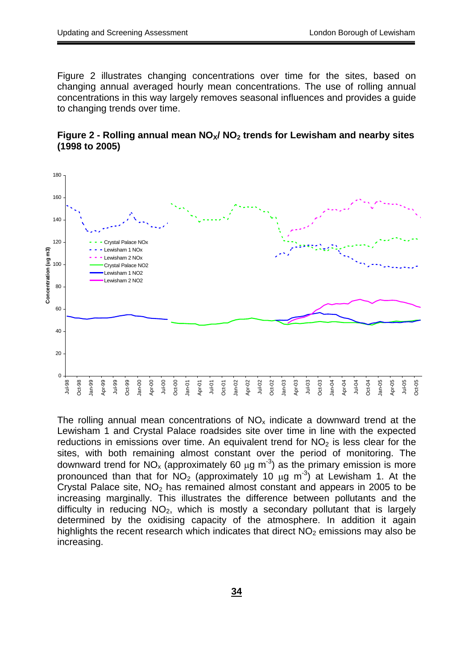Figure 2 illustrates changing concentrations over time for the sites, based on changing annual averaged hourly mean concentrations. The use of rolling annual concentrations in this way largely removes seasonal influences and provides a guide to changing trends over time.

Figure 2 - Rolling annual mean NO<sub>x</sub>/NO<sub>2</sub> trends for Lewisham and nearby sites **(1998 to 2005)** 



The rolling annual mean concentrations of  $NO<sub>x</sub>$  indicate a downward trend at the Lewisham 1 and Crystal Palace roadsides site over time in line with the expected reductions in emissions over time. An equivalent trend for  $NO<sub>2</sub>$  is less clear for the sites, with both remaining almost constant over the period of monitoring. The downward trend for NO<sub>x</sub> (approximately 60  $\mu$ g m<sup>-3</sup>) as the primary emission is more pronounced than that for  $NO<sub>2</sub>$  (approximately 10  $\mu$ g m<sup>-3</sup>) at Lewisham 1. At the Crystal Palace site,  $NO<sub>2</sub>$  has remained almost constant and appears in 2005 to be increasing marginally. This illustrates the difference between pollutants and the difficulty in reducing  $NO<sub>2</sub>$ , which is mostly a secondary pollutant that is largely determined by the oxidising capacity of the atmosphere. In addition it again highlights the recent research which indicates that direct  $NO<sub>2</sub>$  emissions may also be increasing.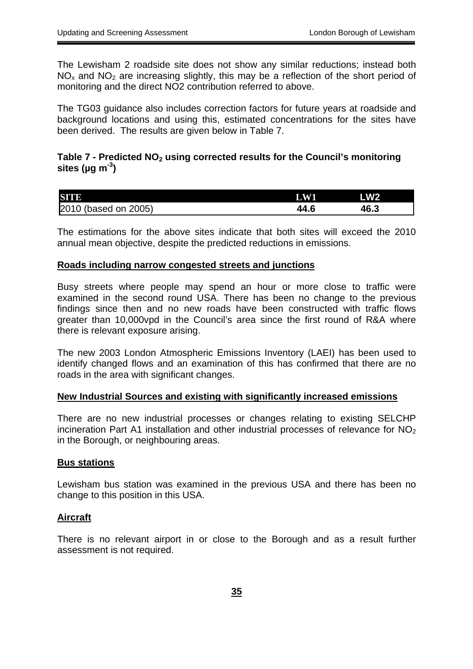The Lewisham 2 roadside site does not show any similar reductions; instead both  $NO<sub>x</sub>$  and  $NO<sub>2</sub>$  are increasing slightly, this may be a reflection of the short period of monitoring and the direct NO2 contribution referred to above.

The TG03 guidance also includes correction factors for future years at roadside and background locations and using this, estimated concentrations for the sites have been derived. The results are given below in Table 7.

#### Table 7 - Predicted NO<sub>2</sub> using corrected results for the Council's monitoring **sites (µg m-3)**

| SITE                 | <b>AWI</b> | <b>LW2</b> |
|----------------------|------------|------------|
| 2010 (based on 2005) | 44.6       | 46.3       |

The estimations for the above sites indicate that both sites will exceed the 2010 annual mean objective, despite the predicted reductions in emissions.

#### **Roads including narrow congested streets and junctions**

Busy streets where people may spend an hour or more close to traffic were examined in the second round USA. There has been no change to the previous findings since then and no new roads have been constructed with traffic flows greater than 10,000vpd in the Council's area since the first round of R&A where there is relevant exposure arising.

The new 2003 London Atmospheric Emissions Inventory (LAEI) has been used to identify changed flows and an examination of this has confirmed that there are no roads in the area with significant changes.

#### **New Industrial Sources and existing with significantly increased emissions**

There are no new industrial processes or changes relating to existing SELCHP incineration Part A1 installation and other industrial processes of relevance for  $NO<sub>2</sub>$ in the Borough, or neighbouring areas.

#### **Bus stations**

Lewisham bus station was examined in the previous USA and there has been no change to this position in this USA.

#### **Aircraft**

There is no relevant airport in or close to the Borough and as a result further assessment is not required.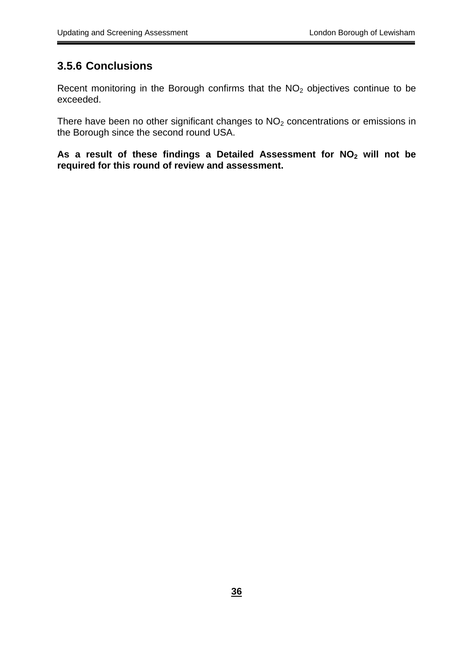## <span id="page-35-0"></span>**3.5.6 Conclusions**

Recent monitoring in the Borough confirms that the NO<sub>2</sub> objectives continue to be exceeded.

There have been no other significant changes to  $NO<sub>2</sub>$  concentrations or emissions in the Borough since the second round USA.

As a result of these findings a Detailed Assessment for NO<sub>2</sub> will not be **required for this round of review and assessment.**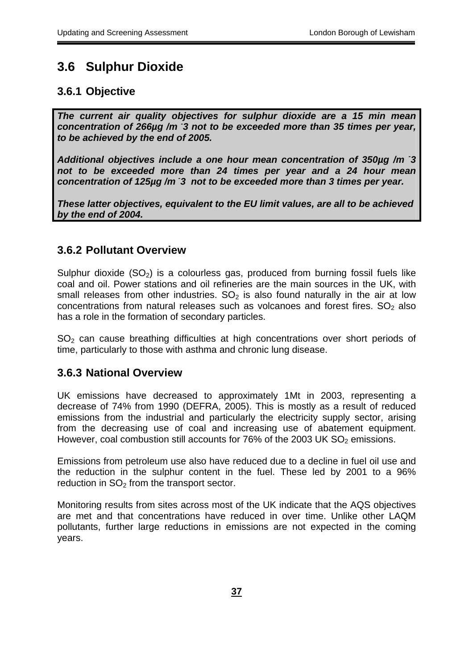## <span id="page-36-0"></span>**3.6 Sulphur Dioxide**

## **3.6.1 Objective**

*The current air quality objectives for sulphur dioxide are a 15 min mean concentration of 266µg /m - 3 not to be exceeded more than 35 times per year, to be achieved by the end of 2005.* 

*Additional objectives include a one hour mean concentration of 350µg /m - 3 not to be exceeded more than 24 times per year and a 24 hour mean concentration of 125µg /m - 3 not to be exceeded more than 3 times per year.* 

*These latter objectives, equivalent to the EU limit values, are all to be achieved by the end of 2004.* 

### **3.6.2 Pollutant Overview**

Sulphur dioxide  $(SO_2)$  is a colourless gas, produced from burning fossil fuels like coal and oil. Power stations and oil refineries are the main sources in the UK, with small releases from other industries.  $SO<sub>2</sub>$  is also found naturally in the air at low concentrations from natural releases such as volcanoes and forest fires.  $SO<sub>2</sub>$  also has a role in the formation of secondary particles.

SO<sub>2</sub> can cause breathing difficulties at high concentrations over short periods of time, particularly to those with asthma and chronic lung disease.

### **3.6.3 National Overview**

UK emissions have decreased to approximately 1Mt in 2003, representing a decrease of 74% from 1990 (DEFRA, 2005). This is mostly as a result of reduced emissions from the industrial and particularly the electricity supply sector, arising from the decreasing use of coal and increasing use of abatement equipment. However, coal combustion still accounts for  $76\%$  of the 2003 UK SO<sub>2</sub> emissions.

Emissions from petroleum use also have reduced due to a decline in fuel oil use and the reduction in the sulphur content in the fuel. These led by 2001 to a 96% reduction in  $SO<sub>2</sub>$  from the transport sector.

Monitoring results from sites across most of the UK indicate that the AQS objectives are met and that concentrations have reduced in over time. Unlike other LAQM pollutants, further large reductions in emissions are not expected in the coming years.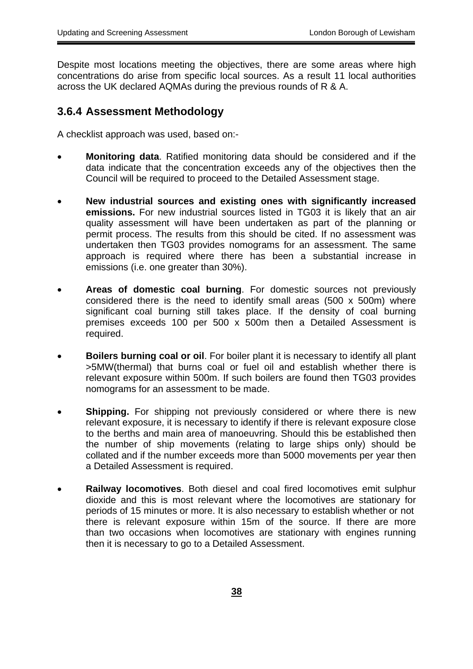<span id="page-37-0"></span>Despite most locations meeting the objectives, there are some areas where high concentrations do arise from specific local sources. As a result 11 local authorities across the UK declared AQMAs during the previous rounds of R & A.

#### **3.6.4 Assessment Methodology**

A checklist approach was used, based on:-

- **Monitoring data**. Ratified monitoring data should be considered and if the data indicate that the concentration exceeds any of the objectives then the Council will be required to proceed to the Detailed Assessment stage.
- New industrial sources and existing ones with significantly increased  **emissions.** For new industrial sources listed in TG03 it is likely that an air quality assessment will have been undertaken as part of the planning or permit process. The results from this should be cited. If no assessment was undertaken then TG03 provides nomograms for an assessment. The same approach is required where there has been a substantial increase in emissions (i.e. one greater than 30%).
- Areas of domestic coal burning. For domestic sources not previously considered there is the need to identify small areas (500 x 500m) where significant coal burning still takes place. If the density of coal burning premises exceeds 100 per 500 x 500m then a Detailed Assessment is required.
- **Boilers burning coal or oil**. For boiler plant it is necessary to identify all plant >5MW(thermal) that burns coal or fuel oil and establish whether there is relevant exposure within 500m. If such boilers are found then TG03 provides nomograms for an assessment to be made.
- **Shipping.** For shipping not previously considered or where there is new relevant exposure, it is necessary to identify if there is relevant exposure close to the berths and main area of manoeuvring. Should this be established then the number of ship movements (relating to large ships only) should be collated and if the number exceeds more than 5000 movements per year then a Detailed Assessment is required.
- **Railway locomotives**. Both diesel and coal fired locomotives emit sulphur dioxide and this is most relevant where the locomotives are stationary for periods of 15 minutes or more. It is also necessary to establish whether or not there is relevant exposure within 15m of the source. If there are more than two occasions when locomotives are stationary with engines running then it is necessary to go to a Detailed Assessment.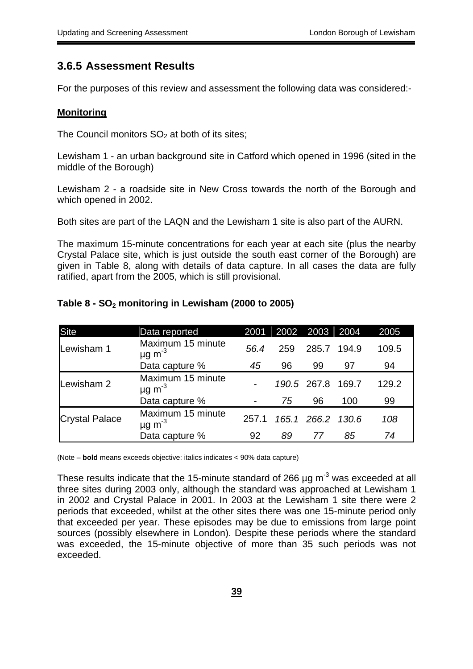#### **3.6.5 Assessment Results**

For the purposes of this review and assessment the following data was considered:-

#### **Monitoring**

The Council monitors  $SO<sub>2</sub>$  at both of its sites;

Lewisham 1 - an urban background site in Catford which opened in 1996 (sited in the middle of the Borough)

which opened in 2002. Lewisham 2 - a roadside site in New Cross towards the north of the Borough and

Both sites are part of the LAQN and the Lewisham 1 site is also part of the AURN.

The maximum 15-minute concentrations for each year at each site (plus the nearby Crystal Palace site, which is just outside the south east corner of the Borough) are given in Table 8, along with details of data capture. In all cases the data are fully ratified, apart from the 2005, which is still provisional.

| <b>Site</b>           | Data reported                                | 2001  |     | 2002 2003         | 2004  | 2005  |
|-----------------------|----------------------------------------------|-------|-----|-------------------|-------|-------|
| Lewisham 1            | Maximum 15 minute<br>$\mu$ g m <sup>-3</sup> | 56.4  | 259 | 285.7             | 194.9 | 109.5 |
|                       | Data capture %                               | 45    | 96  | 99                | 97    | 94    |
| Lewisham 2            | Maximum 15 minute<br>$\mu$ g m <sup>-3</sup> |       |     | 190.5 267.8 169.7 |       | 129.2 |
|                       | Data capture %                               |       | 75  | 96                | 100   | 99    |
| <b>Crystal Palace</b> | Maximum 15 minute<br>$\mu$ g m <sup>-3</sup> | 257.1 |     | 165.1 266.2 130.6 |       | 108   |
|                       | Data capture %                               | 92    | 89  | 77                | 85    | 74    |

#### Table 8 - SO<sub>2</sub> monitoring in Lewisham (2000 to 2005)

(Note – **bold** means exceeds objective: italics indicates < 90% data capture)

These results indicate that the 15-minute standard of 266  $\mu$ g m<sup>-3</sup> was exceeded at all three sites during 2003 only, although the standard was approached at Lewisham 1 in 2002 and Crystal Palace in 2001. In 2003 at the Lewisham 1 site there were 2 periods that exceeded, whilst at the other sites there was one 15-minute period only that exceeded per year. These episodes may be due to emissions from large point sources (possibly elsewhere in London). Despite these periods where the standard was exceeded, the 15-minute objective of more than 35 such periods was not exceeded.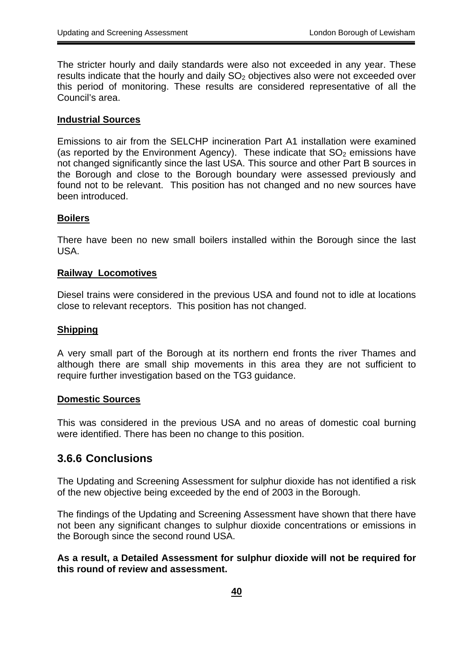<span id="page-39-0"></span>The stricter hourly and daily standards were also not exceeded in any year. These results indicate that the hourly and daily  $SO<sub>2</sub>$  objectives also were not exceeded over this period of monitoring. These results are considered representative of all the Council's area.

#### **Industrial Sources**

Emissions to air from the SELCHP incineration Part A1 installation were examined (as reported by the Environment Agency). These indicate that  $SO<sub>2</sub>$  emissions have not changed significantly since the last USA. This source and other Part B sources in the Borough and close to the Borough boundary were assessed previously and found not to be relevant. This position has not changed and no new sources have been introduced.

#### **Boilers**

There have been no new small boilers installed within the Borough since the last USA.

#### **Railway Locomotives**

Diesel trains were considered in the previous USA and found not to idle at locations close to relevant receptors. This position has not changed.

#### **Shipping**

A very small part of the Borough at its northern end fronts the river Thames and although there are small ship movements in this area they are not sufficient to require further investigation based on the TG3 guidance.

#### **Domestic Sources**

This was considered in the previous USA and no areas of domestic coal burning were identified. There has been no change to this position.

#### **3.6.6 Conclusions**

The Updating and Screening Assessment for sulphur dioxide has not identified a risk of the new objective being exceeded by the end of 2003 in the Borough.

The findings of the Updating and Screening Assessment have shown that there have not been any significant changes to sulphur dioxide concentrations or emissions in the Borough since the second round USA.

**As a result, a Detailed Assessment for sulphur dioxide will not be required for this round of review and assessment.**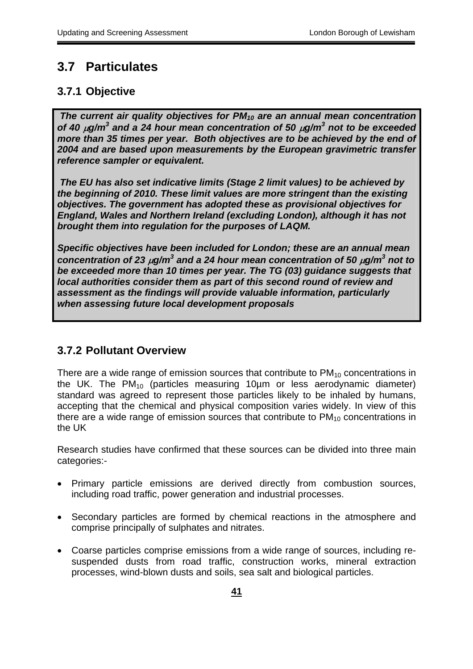## <span id="page-40-0"></span>**3.7 Particulates**

## **3.7.1 Objective**

*The current air quality objectives for PM10 are an annual mean concentration of 40* µ*g/m<sup>3</sup> and a 24 hour mean concentration of 50* µ*g/m<sup>3</sup> not to be exceeded more than 35 times per year. Both objectives are to be achieved by the end of 2004 and are based upon measurements by the European gravimetric transfer reference sampler or equivalent.* 

 *The EU has also set indicative limits (Stage 2 limit values) to be achieved by the beginning of 2010. These limit values are more stringent than the existing objectives. The government has adopted these as provisional objectives for England, Wales and Northern Ireland (excluding London), although it has not brought them into regulation for the purposes of LAQM.* 

*Specific objectives have been included for London; these are an annual mean concentration of 23*  $\mu$ *g/m<sup>3</sup> and a 24 hour mean concentration of 50*  $\mu$ *g/m<sup>3</sup> not to be exceeded more than 10 times per year. The TG (03) guidance suggests that local authorities consider them as part of this second round of review and assessment as the findings will provide valuable information, particularly when assessing future local development proposals* 

## **3.7.2 Pollutant Overview**

There are a wide range of emission sources that contribute to  $PM_{10}$  concentrations in the UK. The  $PM_{10}$  (particles measuring 10 $\mu$ m or less aerodynamic diameter) standard was agreed to represent those particles likely to be inhaled by humans, accepting that the chemical and physical composition varies widely. In view of this there are a wide range of emission sources that contribute to  $PM_{10}$  concentrations in the UK

Research studies have confirmed that these sources can be divided into three main categories:-

- Primary particle emissions are derived directly from combustion sources, including road traffic, power generation and industrial processes.
- Secondary particles are formed by chemical reactions in the atmosphere and comprise principally of sulphates and nitrates.
- Coarse particles comprise emissions from a wide range of sources, including resuspended dusts from road traffic, construction works, mineral extraction processes, wind-blown dusts and soils, sea salt and biological particles.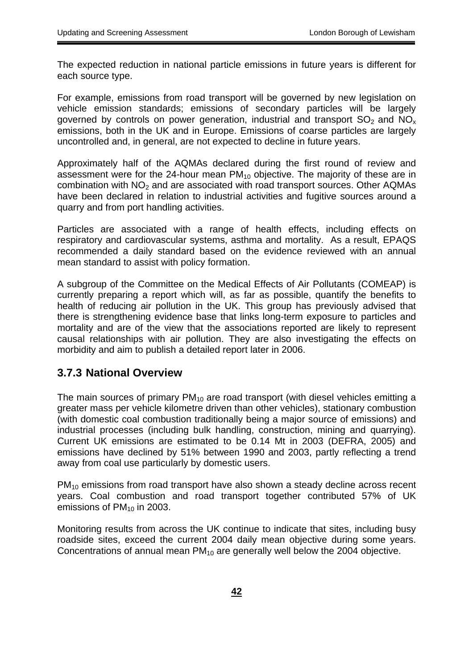<span id="page-41-0"></span>The expected reduction in national particle emissions in future years is different for each source type.

For example, emissions from road transport will be governed by new legislation on vehicle emission standards; emissions of secondary particles will be largely governed by controls on power generation, industrial and transport  $SO<sub>2</sub>$  and  $NO<sub>x</sub>$ emissions, both in the UK and in Europe. Emissions of coarse particles are largely uncontrolled and, in general, are not expected to decline in future years.

Approximately half of the AQMAs declared during the first round of review and assessment were for the 24-hour mean  $PM_{10}$  objective. The majority of these are in combination with  $NO<sub>2</sub>$  and are associated with road transport sources. Other AQMAs have been declared in relation to industrial activities and fugitive sources around a quarry and from port handling activities.

Particles are associated with a range of health effects, including effects on respiratory and cardiovascular systems, asthma and mortality. As a result, EPAQS recommended a daily standard based on the evidence reviewed with an annual mean standard to assist with policy formation.

A subgroup of the Committee on the Medical Effects of Air Pollutants (COMEAP) is currently preparing a report which will, as far as possible, quantify the benefits to health of reducing air pollution in the UK. This group has previously advised that there is strengthening evidence base that links long-term exposure to particles and mortality and are of the view that the associations reported are likely to represent causal relationships with air pollution. They are also investigating the effects on morbidity and aim to publish a detailed report later in 2006.

#### **3.7.3 National Overview**

The main sources of primary  $PM_{10}$  are road transport (with diesel vehicles emitting a greater mass per vehicle kilometre driven than other vehicles), stationary combustion (with domestic coal combustion traditionally being a major source of emissions) and industrial processes (including bulk handling, construction, mining and quarrying). Current UK emissions are estimated to be 0.14 Mt in 2003 (DEFRA, 2005) and emissions have declined by 51% between 1990 and 2003, partly reflecting a trend away from coal use particularly by domestic users.

PM<sub>10</sub> emissions from road transport have also shown a steady decline across recent years. Coal combustion and road transport together contributed 57% of UK emissions of  $PM<sub>10</sub>$  in 2003.

Monitoring results from across the UK continue to indicate that sites, including busy roadside sites, exceed the current 2004 daily mean objective during some years. Concentrations of annual mean  $PM_{10}$  are generally well below the 2004 objective.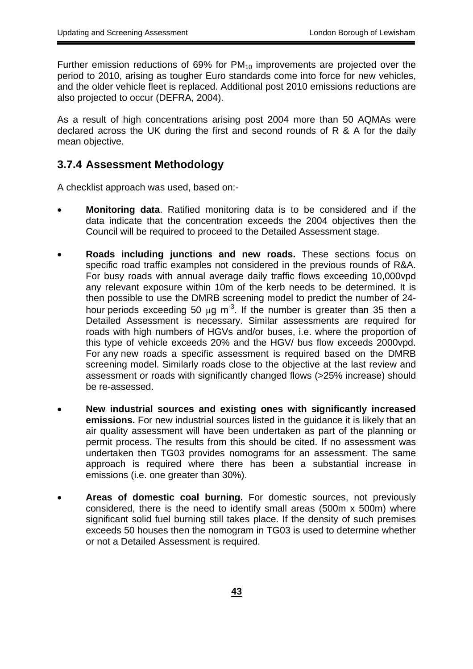<span id="page-42-0"></span>Further emission reductions of 69% for  $PM_{10}$  improvements are projected over the period to 2010, arising as tougher Euro standards come into force for new vehicles, and the older vehicle fleet is replaced. Additional post 2010 emissions reductions are also projected to occur (DEFRA, 2004).

As a result of high concentrations arising post 2004 more than 50 AQMAs were declared across the UK during the first and second rounds of R & A for the daily mean objective.

### **3.7.4 Assessment Methodology**

A checklist approach was used, based on:-

- **Monitoring data**. Ratified monitoring data is to be considered and if the data indicate that the concentration exceeds the 2004 objectives then the Council will be required to proceed to the Detailed Assessment stage.
- specific road traffic examples not considered in the previous rounds of R&A. this type of vehicle exceeds 20% and the HGV/ bus flow exceeds 2000vpd. **Roads including junctions and new roads.** These sections focus on For busy roads with annual average daily traffic flows exceeding 10,000vpd any relevant exposure within 10m of the kerb needs to be determined. It is then possible to use the DMRB screening model to predict the number of 24 hour periods exceeding 50  $\mu$ g m<sup>-3</sup>. If the number is greater than 35 then a Detailed Assessment is necessary. Similar assessments are required for roads with high numbers of HGVs and/or buses, i.e. where the proportion of For any new roads a specific assessment is required based on the DMRB screening model. Similarly roads close to the objective at the last review and assessment or roads with significantly changed flows (>25% increase) should be re-assessed.
- New industrial sources and existing ones with significantly increased  **emissions.** For new industrial sources listed in the guidance it is likely that an air quality assessment will have been undertaken as part of the planning or permit process. The results from this should be cited. If no assessment was undertaken then TG03 provides nomograms for an assessment. The same approach is required where there has been a substantial increase in emissions (i.e. one greater than 30%).
- Areas of domestic coal burning. For domestic sources, not previously considered, there is the need to identify small areas (500m x 500m) where significant solid fuel burning still takes place. If the density of such premises exceeds 50 houses then the nomogram in TG03 is used to determine whether or not a Detailed Assessment is required.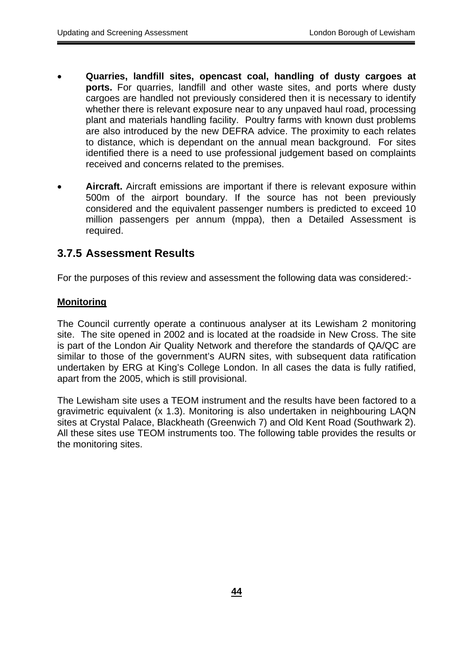- <span id="page-43-0"></span>Quarries, landfill sites, opencast coal, handling of dusty cargoes at  **ports.** For quarries, landfill and other waste sites, and ports where dusty cargoes are handled not previously considered then it is necessary to identify whether there is relevant exposure near to any unpaved haul road, processing plant and materials handling facility. Poultry farms with known dust problems are also introduced by the new DEFRA advice. The proximity to each relates to distance, which is dependant on the annual mean background. For sites identified there is a need to use professional judgement based on complaints received and concerns related to the premises.
- **Aircraft.** Aircraft emissions are important if there is relevant exposure within 500m of the airport boundary. If the source has not been previously considered and the equivalent passenger numbers is predicted to exceed 10 million passengers per annum (mppa), then a Detailed Assessment is required.

### **3.7.5 Assessment Results**

For the purposes of this review and assessment the following data was considered:-

#### **Monitoring**

apart from the 2005, which is still provisional. The Council currently operate a continuous analyser at its Lewisham 2 monitoring site. The site opened in 2002 and is located at the roadside in New Cross. The site is part of the London Air Quality Network and therefore the standards of QA/QC are similar to those of the government's AURN sites, with subsequent data ratification undertaken by ERG at King's College London. In all cases the data is fully ratified,

The Lewisham site uses a TEOM instrument and the results have been factored to a gravimetric equivalent (x 1.3). Monitoring is also undertaken in neighbouring LAQN sites at Crystal Palace, Blackheath (Greenwich 7) and Old Kent Road (Southwark 2). All these sites use TEOM instruments too. The following table provides the results or the monitoring sites.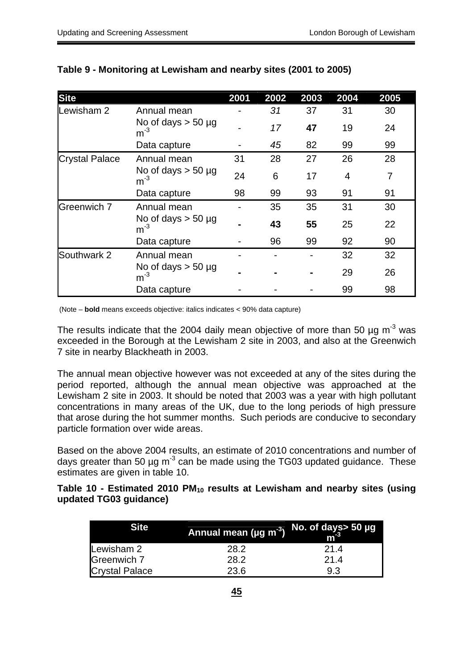| <b>Site</b>           |                                  | 2001 | 2002 | 2003 | 2004 | 2005 |
|-----------------------|----------------------------------|------|------|------|------|------|
| Lewisham 2            | Annual mean                      |      | 31   | 37   | 31   | 30   |
|                       | No of days $>$ 50 µg<br>$m^{-3}$ |      | 17   | 47   | 19   | 24   |
|                       | Data capture                     |      | 45   | 82   | 99   | 99   |
| <b>Crystal Palace</b> | Annual mean                      | 31   | 28   | 27   | 26   | 28   |
|                       | No of days $>$ 50 µg<br>$m^{-3}$ | 24   | 6    | 17   | 4    | 7    |
|                       | Data capture                     | 98   | 99   | 93   | 91   | 91   |
| Greenwich 7           | Annual mean                      |      | 35   | 35   | 31   | 30   |
|                       | No of days $>$ 50 µg<br>$m^{-3}$ |      | 43   | 55   | 25   | 22   |
|                       | Data capture                     |      | 96   | 99   | 92   | 90   |
| Southwark 2           | Annual mean                      |      |      |      | 32   | 32   |
|                       | No of days $>$ 50 µg<br>$m^{-3}$ |      |      |      | 29   | 26   |
|                       | Data capture                     |      |      |      | 99   | 98   |

#### **Table 9 - Monitoring at Lewisham and nearby sites (2001 to 2005)**

(Note – **bold** means exceeds objective: italics indicates < 90% data capture)

The results indicate that the 2004 daily mean objective of more than 50  $\mu$ q m<sup>-3</sup> was exceeded in the Borough at the Lewisham 2 site in 2003, and also at the Greenwich 7 site in nearby Blackheath in 2003.

The annual mean objective however was not exceeded at any of the sites during the period reported, although the annual mean objective was approached at the Lewisham 2 site in 2003. It should be noted that 2003 was a year with high pollutant concentrations in many areas of the UK, due to the long periods of high pressure that arose during the hot summer months. Such periods are conducive to secondary particle formation over wide areas.

Based on the above 2004 results, an estimate of 2010 concentrations and number of days greater than 50  $\mu$ g m<sup>-3</sup> can be made using the TG03 updated guidance. These estimates are given in table 10.

Table 10 - Estimated 2010 PM<sub>10</sub> results at Lewisham and nearby sites (using **updated TG03 guidance)** 

| <b>Site</b>           | Annual mean (µg m <sup>-3</sup> ) | No. of days> 50 µg<br>$\mathsf{m}^\text{-3}$ |  |  |
|-----------------------|-----------------------------------|----------------------------------------------|--|--|
| Lewisham 2            | 28.2                              | 21.4                                         |  |  |
| Greenwich 7           | 28.2                              | 21.4                                         |  |  |
| <b>Crystal Palace</b> | 23.6                              | 9.3                                          |  |  |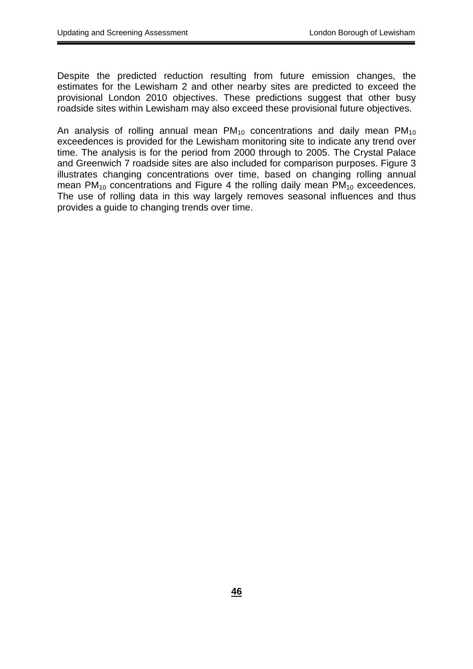Despite the predicted reduction resulting from future emission changes, the estimates for the Lewisham 2 and other nearby sites are predicted to exceed the provisional London 2010 objectives. These predictions suggest that other busy roadside sites within Lewisham may also exceed these provisional future objectives.

An analysis of rolling annual mean  $PM_{10}$  concentrations and daily mean  $PM_{10}$ exceedences is provided for the Lewisham monitoring site to indicate any trend over time. The analysis is for the period from 2000 through to 2005. The Crystal Palace and Greenwich 7 roadside sites are also included for comparison purposes. Figure 3 illustrates changing concentrations over time, based on changing rolling annual mean  $PM_{10}$  concentrations and Figure 4 the rolling daily mean  $PM_{10}$  exceedences. The use of rolling data in this way largely removes seasonal influences and thus provides a guide to changing trends over time.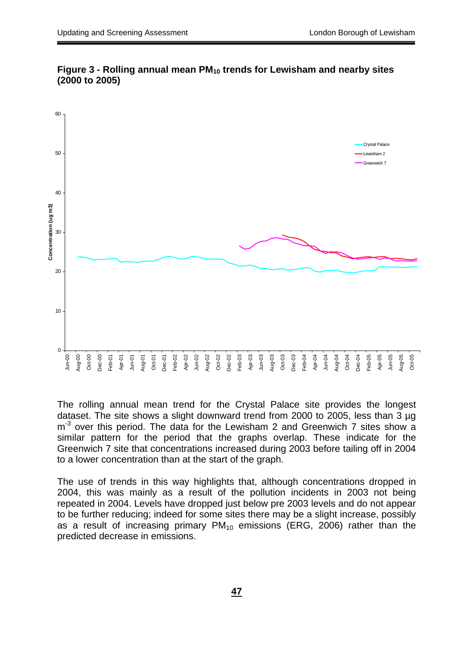



The rolling annual mean trend for the Crystal Palace site provides the longest dataset. The site shows a slight downward trend from 2000 to 2005, less than 3 µg  $m<sup>-3</sup>$  over this period. The data for the Lewisham 2 and Greenwich 7 sites show a similar pattern for the period that the graphs overlap. These indicate for the Greenwich 7 site that concentrations increased during 2003 before tailing off in 2004 to a lower concentration than at the start of the graph.

The use of trends in this way highlights that, although concentrations dropped in 2004, this was mainly as a result of the pollution incidents in 2003 not being repeated in 2004. Levels have dropped just below pre 2003 levels and do not appear to be further reducing; indeed for some sites there may be a slight increase, possibly as a result of increasing primary  $PM_{10}$  emissions (ERG, 2006) rather than the predicted decrease in emissions.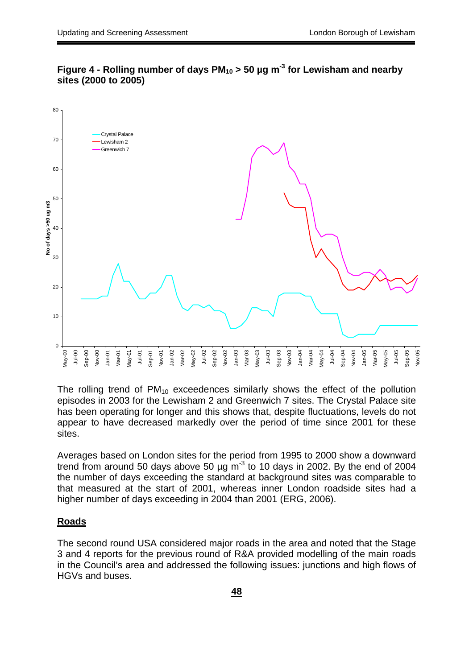

Figure 4 - Rolling number of days PM<sub>10</sub> > 50 µg m<sup>-3</sup> for Lewisham and nearby **sites (2000 to 2005)** 

The rolling trend of  $PM_{10}$  exceedences similarly shows the effect of the pollution episodes in 2003 for the Lewisham 2 and Greenwich 7 sites. The Crystal Palace site has been operating for longer and this shows that, despite fluctuations, levels do not appear to have decreased markedly over the period of time since 2001 for these sites.

Averages based on London sites for the period from 1995 to 2000 show a downward trend from around 50 days above 50  $\mu$ g m<sup>-3</sup> to 10 days in 2002. By the end of 2004 the number of days exceeding the standard at background sites was comparable to that measured at the start of 2001, whereas inner London roadside sites had a higher number of days exceeding in 2004 than 2001 (ERG, 2006).

#### **Roads**

The second round USA considered major roads in the area and noted that the Stage 3 and 4 reports for the previous round of R&A provided modelling of the main roads in the Council's area and addressed the following issues: junctions and high flows of HGVs and buses.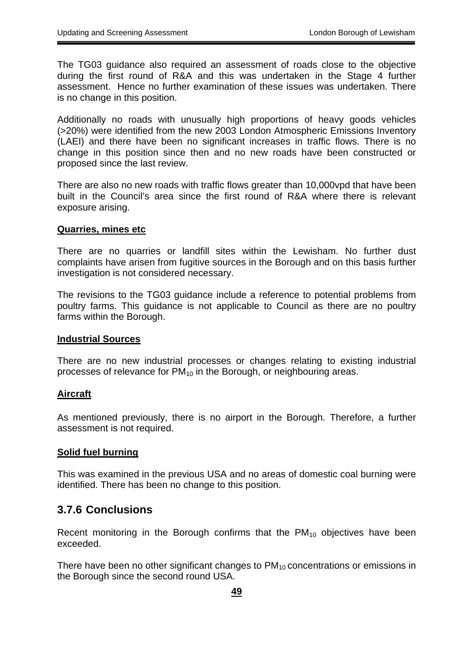<span id="page-48-0"></span>The TG03 guidance also required an assessment of roads close to the objective during the first round of R&A and this was undertaken in the Stage 4 further assessment. Hence no further examination of these issues was undertaken. There is no change in this position.

Additionally no roads with unusually high proportions of heavy goods vehicles (>20%) were identified from the new 2003 London Atmospheric Emissions Inventory (LAEI) and there have been no significant increases in traffic flows. There is no change in this position since then and no new roads have been constructed or proposed since the last review.

There are also no new roads with traffic flows greater than 10,000vpd that have been built in the Council's area since the first round of R&A where there is relevant exposure arising.

#### **Quarries, mines etc**

There are no quarries or landfill sites within the Lewisham. No further dust complaints have arisen from fugitive sources in the Borough and on this basis further investigation is not considered necessary.

The revisions to the TG03 guidance include a reference to potential problems from poultry farms. This guidance is not applicable to Council as there are no poultry farms within the Borough.

#### **Industrial Sources**

There are no new industrial processes or changes relating to existing industrial processes of relevance for  $PM_{10}$  in the Borough, or neighbouring areas.

#### **Aircraft**

As mentioned previously, there is no airport in the Borough. Therefore, a further assessment is not required.

#### **Solid fuel burning**

This was examined in the previous USA and no areas of domestic coal burning were identified. There has been no change to this position.

#### **3.7.6 Conclusions**

Recent monitoring in the Borough confirms that the  $PM_{10}$  objectives have been exceeded.

There have been no other significant changes to  $PM_{10}$  concentrations or emissions in the Borough since the second round USA.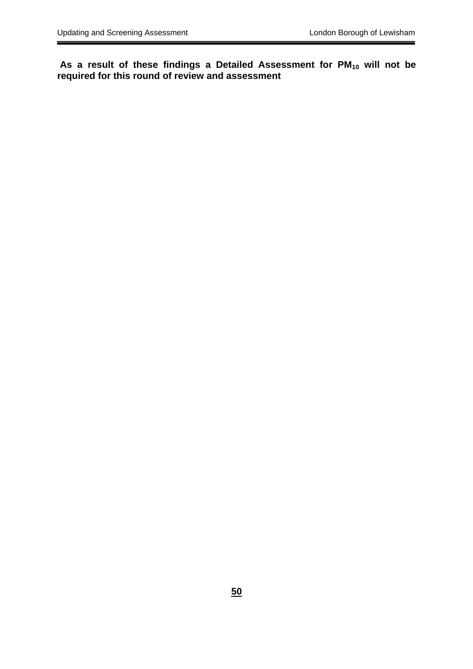As a result of these findings a Detailed Assessment for PM<sub>10</sub> will not be **required for this round of review and assessment**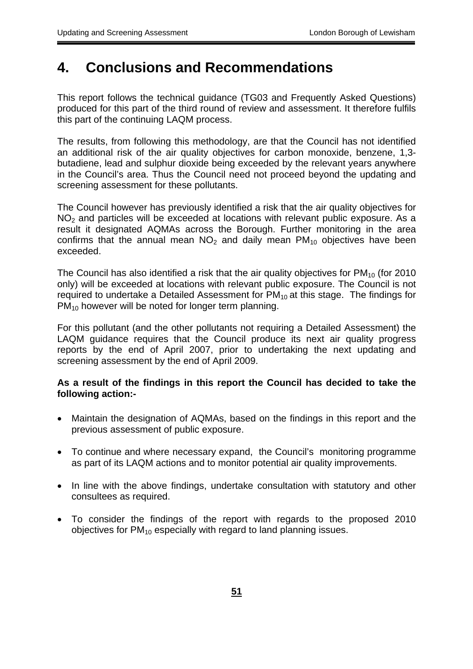## <span id="page-50-0"></span>**4. Conclusions and Recommendations**

This report follows the technical guidance (TG03 and Frequently Asked Questions) produced for this part of the third round of review and assessment. It therefore fulfils this part of the continuing LAQM process.

The results, from following this methodology, are that the Council has not identified an additional risk of the air quality objectives for carbon monoxide, benzene, 1,3 butadiene, lead and sulphur dioxide being exceeded by the relevant years anywhere in the Council's area. Thus the Council need not proceed beyond the updating and screening assessment for these pollutants.

The Council however has previously identified a risk that the air quality objectives for  $NO<sub>2</sub>$  and particles will be exceeded at locations with relevant public exposure. As a result it designated AQMAs across the Borough. Further monitoring in the area confirms that the annual mean  $NO<sub>2</sub>$  and daily mean  $PM<sub>10</sub>$  objectives have been exceeded.

The Council has also identified a risk that the air quality objectives for  $PM_{10}$  (for 2010 only) will be exceeded at locations with relevant public exposure. The Council is not required to undertake a Detailed Assessment for  $PM_{10}$  at this stage. The findings for PM<sub>10</sub> however will be noted for longer term planning.

For this pollutant (and the other pollutants not requiring a Detailed Assessment) the LAQM guidance requires that the Council produce its next air quality progress reports by the end of April 2007, prior to undertaking the next updating and screening assessment by the end of April 2009.

#### **As a result of the findings in this report the Council has decided to take the following action:-**

- Maintain the designation of AQMAs, based on the findings in this report and the previous assessment of public exposure.
- To continue and where necessary expand, the Council's monitoring programme as part of its LAQM actions and to monitor potential air quality improvements.
- In line with the above findings, undertake consultation with statutory and other consultees as required.
- To consider the findings of the report with regards to the proposed 2010 objectives for  $PM_{10}$  especially with regard to land planning issues.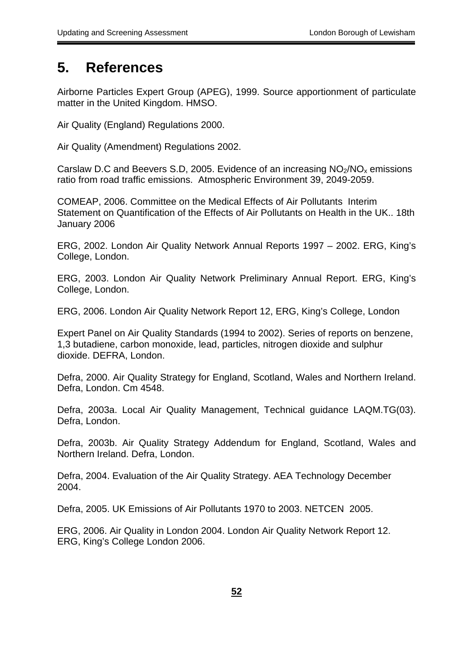## <span id="page-51-0"></span>**5. References**

Airborne Particles Expert Group (APEG), 1999. Source apportionment of particulate matter in the United Kingdom. HMSO.

Air Quality (England) Regulations 2000.

Air Quality (Amendment) Regulations 2002.

Carslaw D.C and Beevers S.D, 2005. Evidence of an increasing  $NO<sub>2</sub>/NO<sub>x</sub>$  emissions ratio from road traffic emissions. Atmospheric Environment 39, 2049-2059.

COMEAP, 2006. Committee on the Medical Effects of Air Pollutants Interim Statement on Quantification of the Effects of Air Pollutants on Health in the UK.. 18th January 2006

ERG, 2002. London Air Quality Network Annual Reports 1997 – 2002. ERG, King's College, London.

ERG, 2003. London Air Quality Network Preliminary Annual Report. ERG, King's College, London.

ERG, 2006. London Air Quality Network Report 12, ERG, King's College, London

Expert Panel on Air Quality Standards (1994 to 2002). Series of reports on benzene, 1,3 butadiene, carbon monoxide, lead, particles, nitrogen dioxide and sulphur dioxide. DEFRA, London.

Defra, 2000. Air Quality Strategy for England, Scotland, Wales and Northern Ireland. Defra, London. Cm 4548.

Defra, 2003a. Local Air Quality Management, Technical guidance LAQM.TG(03). Defra, London.

Defra, 2003b. Air Quality Strategy Addendum for England, Scotland, Wales and Northern Ireland. Defra, London.

Defra, 2004. Evaluation of the Air Quality Strategy. AEA Technology December 2004.

Defra, 2005. UK Emissions of Air Pollutants 1970 to 2003. NETCEN 2005.

ERG, 2006. Air Quality in London 2004. London Air Quality Network Report 12. ERG, King's College London 2006.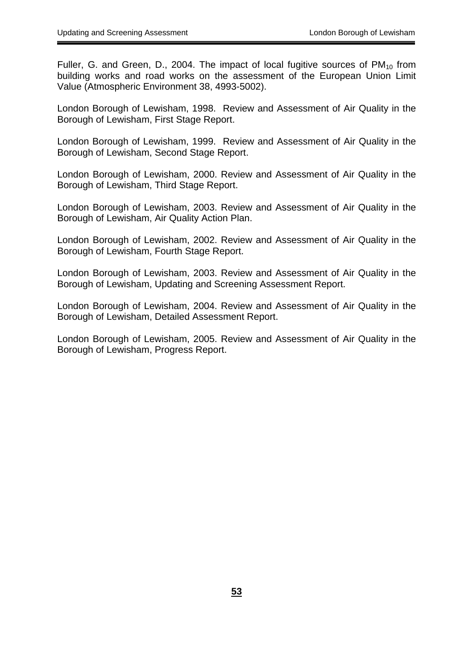Fuller, G. and Green, D., 2004. The impact of local fugitive sources of  $PM_{10}$  from building works and road works on the assessment of the European Union Limit Value (Atmospheric Environment 38, 4993-5002).

London Borough of Lewisham, 1998. Review and Assessment of Air Quality in the Borough of Lewisham, First Stage Report.

Borough of Lewisham, Second Stage Report. London Borough of Lewisham, 1999. Review and Assessment of Air Quality in the

London Borough of Lewisham, 2000. Review and Assessment of Air Quality in the Borough of Lewisham, Third Stage Report.

London Borough of Lewisham, 2003. Review and Assessment of Air Quality in the Borough of Lewisham, Air Quality Action Plan.

London Borough of Lewisham, 2002. Review and Assessment of Air Quality in the Borough of Lewisham, Fourth Stage Report.

London Borough of Lewisham, 2003. Review and Assessment of Air Quality in the Borough of Lewisham, Updating and Screening Assessment Report.

London Borough of Lewisham, 2004. Review and Assessment of Air Quality in the Borough of Lewisham, Detailed Assessment Report.

London Borough of Lewisham, 2005. Review and Assessment of Air Quality in the Borough of Lewisham, Progress Report.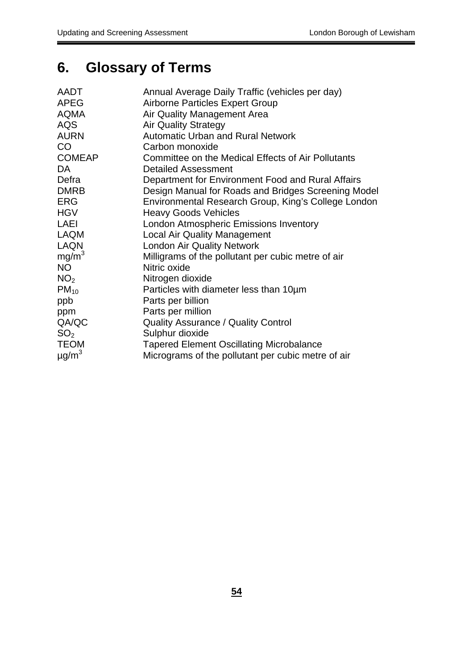# <span id="page-53-0"></span>**6. Glossary of Terms**

| AADT                   | Annual Average Daily Traffic (vehicles per day)     |
|------------------------|-----------------------------------------------------|
| <b>APEG</b>            | <b>Airborne Particles Expert Group</b>              |
| <b>AQMA</b>            | Air Quality Management Area                         |
| <b>AQS</b>             | <b>Air Quality Strategy</b>                         |
| <b>AURN</b>            | <b>Automatic Urban and Rural Network</b>            |
| CO                     | Carbon monoxide                                     |
| <b>COMEAP</b>          | Committee on the Medical Effects of Air Pollutants  |
| DA.                    | <b>Detailed Assessment</b>                          |
| Defra                  | Department for Environment Food and Rural Affairs   |
| <b>DMRB</b>            | Design Manual for Roads and Bridges Screening Model |
| <b>ERG</b>             | Environmental Research Group, King's College London |
| <b>HGV</b>             | <b>Heavy Goods Vehicles</b>                         |
| <b>LAEI</b>            | <b>London Atmospheric Emissions Inventory</b>       |
| <b>LAQM</b>            | <b>Local Air Quality Management</b>                 |
| <b>LAQN</b>            | <b>London Air Quality Network</b>                   |
| mg/m <sup>3</sup>      | Milligrams of the pollutant per cubic metre of air  |
| <b>NO</b>              | Nitric oxide                                        |
| NO <sub>2</sub>        | Nitrogen dioxide                                    |
| $PM_{10}$              | Particles with diameter less than 10um              |
| ppb                    | Parts per billion                                   |
| ppm                    | Parts per million                                   |
| QA/QC                  | <b>Quality Assurance / Quality Control</b>          |
| SO <sub>2</sub>        | Sulphur dioxide                                     |
| <b>TEOM</b>            | <b>Tapered Element Oscillating Microbalance</b>     |
| $\mu$ g/m <sup>3</sup> | Micrograms of the pollutant per cubic metre of air  |
|                        |                                                     |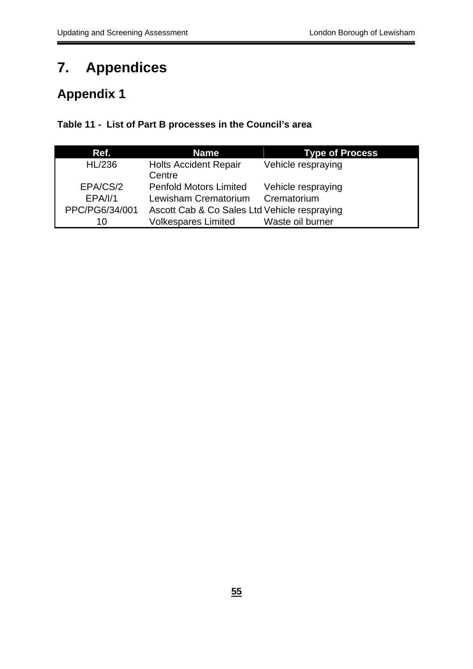# **7. Appendices**

## **Appendix 1**

#### **Table 11 - List of Part B processes in the Council's area**

| Ref.           | <b>Name</b>                                  | <b>Type of Process</b> |
|----------------|----------------------------------------------|------------------------|
| HL/236         | <b>Holts Accident Repair</b><br>Centre       | Vehicle respraying     |
| EPA/CS/2       | <b>Penfold Motors Limited</b>                | Vehicle respraying     |
| EPA/I/1        | Lewisham Crematorium                         | Crematorium            |
| PPC/PG6/34/001 | Ascott Cab & Co Sales Ltd Vehicle respraying |                        |
| 10             | <b>Volkespares Limited</b>                   | Waste oil burner       |